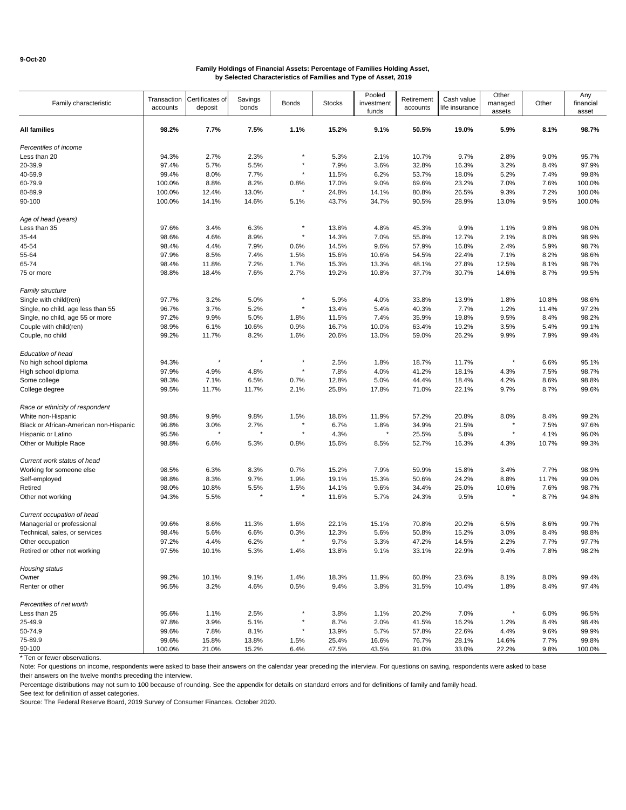| Family characteristic                  | Transaction<br>accounts | Certificates of<br>deposit | Savings<br>bonds | <b>Bonds</b> | <b>Stocks</b> | Pooled<br>investment<br>funds | Retirement<br>accounts | Cash value<br>life insurance | Other<br>managed<br>assets | Other | Any<br>financial<br>asset |
|----------------------------------------|-------------------------|----------------------------|------------------|--------------|---------------|-------------------------------|------------------------|------------------------------|----------------------------|-------|---------------------------|
| <b>All families</b>                    | 98.2%                   | 7.7%                       | 7.5%             | 1.1%         | 15.2%         | 9.1%                          | 50.5%                  | 19.0%                        | 5.9%                       | 8.1%  | 98.7%                     |
| Percentiles of income                  |                         |                            |                  |              |               |                               |                        |                              |                            |       |                           |
| Less than 20                           | 94.3%                   | 2.7%                       | 2.3%             |              | 5.3%          | 2.1%                          | 10.7%                  | 9.7%                         | 2.8%                       | 9.0%  | 95.7%                     |
| 20-39.9                                | 97.4%                   | 5.7%                       | 5.5%             |              | 7.9%          | 3.6%                          | 32.8%                  | 16.3%                        | 3.2%                       | 8.4%  | 97.9%                     |
| 40-59.9                                | 99.4%                   | 8.0%                       | 7.7%             |              | 11.5%         | 6.2%                          | 53.7%                  | 18.0%                        | 5.2%                       | 7.4%  | 99.8%                     |
| 60-79.9                                | 100.0%                  | 8.8%                       | 8.2%             | 0.8%         | 17.0%         | 9.0%                          | 69.6%                  | 23.2%                        | 7.0%                       | 7.6%  | 100.0%                    |
| 80-89.9                                | 100.0%                  | 12.4%                      | 13.0%            |              | 24.8%         | 14.1%                         | 80.8%                  | 26.5%                        | 9.3%                       | 7.2%  | 100.0%                    |
| 90-100                                 | 100.0%                  | 14.1%                      | 14.6%            | 5.1%         | 43.7%         | 34.7%                         | 90.5%                  | 28.9%                        | 13.0%                      | 9.5%  | 100.0%                    |
| Age of head (years)                    |                         |                            |                  |              |               |                               |                        |                              |                            |       |                           |
| Less than 35                           | 97.6%                   | 3.4%                       | 6.3%             |              | 13.8%         | 4.8%                          | 45.3%                  | 9.9%                         | 1.1%                       | 9.8%  | 98.0%                     |
| 35-44                                  | 98.6%                   | 4.6%                       | 8.9%             |              | 14.3%         | 7.0%                          | 55.8%                  | 12.7%                        | 2.1%                       | 8.0%  | 98.9%                     |
| 45-54                                  | 98.4%                   | 4.4%                       | 7.9%             | 0.6%         | 14.5%         | 9.6%                          | 57.9%                  | 16.8%                        | 2.4%                       | 5.9%  | 98.7%                     |
| 55-64                                  | 97.9%                   | 8.5%                       | 7.4%             | 1.5%         | 15.6%         | 10.6%                         | 54.5%                  | 22.4%                        | 7.1%                       | 8.2%  | 98.6%                     |
| 65-74                                  | 98.4%                   | 11.8%                      | 7.2%             | 1.7%         | 15.3%         | 13.3%                         | 48.1%                  | 27.8%                        | 12.5%                      | 8.1%  | 98.7%                     |
| 75 or more                             | 98.8%                   | 18.4%                      | 7.6%             | 2.7%         | 19.2%         | 10.8%                         | 37.7%                  | 30.7%                        | 14.6%                      | 8.7%  | 99.5%                     |
| <b>Family structure</b>                |                         |                            |                  |              |               |                               |                        |                              |                            |       |                           |
| Single with child(ren)                 | 97.7%                   | 3.2%                       | 5.0%             |              | 5.9%          | 4.0%                          | 33.8%                  | 13.9%                        | 1.8%                       | 10.8% | 98.6%                     |
| Single, no child, age less than 55     | 96.7%                   | 3.7%                       | 5.2%             |              | 13.4%         | 5.4%                          | 40.3%                  | 7.7%                         | 1.2%                       | 11.4% | 97.2%                     |
| Single, no child, age 55 or more       | 97.2%                   | 9.9%                       | 5.0%             | 1.8%         | 11.5%         | 7.4%                          | 35.9%                  | 19.8%                        | 9.5%                       | 8.4%  | 98.2%                     |
| Couple with child(ren)                 | 98.9%                   | 6.1%                       | 10.6%            | 0.9%         | 16.7%         | 10.0%                         | 63.4%                  | 19.2%                        | 3.5%                       | 5.4%  | 99.1%                     |
| Couple, no child                       | 99.2%                   | 11.7%                      | 8.2%             | 1.6%         | 20.6%         | 13.0%                         | 59.0%                  | 26.2%                        | 9.9%                       | 7.9%  | 99.4%                     |
| Education of head                      |                         |                            |                  |              |               |                               |                        |                              |                            |       |                           |
| No high school diploma                 | 94.3%                   | $\star$                    |                  |              | 2.5%          | 1.8%                          | 18.7%                  | 11.7%                        |                            | 6.6%  | 95.1%                     |
| High school diploma                    | 97.9%                   | 4.9%                       | 4.8%             |              | 7.8%          | 4.0%                          | 41.2%                  | 18.1%                        | 4.3%                       | 7.5%  | 98.7%                     |
| Some college                           | 98.3%                   | 7.1%                       | 6.5%             | 0.7%         | 12.8%         | 5.0%                          | 44.4%                  | 18.4%                        | 4.2%                       | 8.6%  | 98.8%                     |
| College degree                         | 99.5%                   | 11.7%                      | 11.7%            | 2.1%         | 25.8%         | 17.8%                         | 71.0%                  | 22.1%                        | 9.7%                       | 8.7%  | 99.6%                     |
| Race or ethnicity of respondent        |                         |                            |                  |              |               |                               |                        |                              |                            |       |                           |
| White non-Hispanic                     | 98.8%                   | 9.9%                       | 9.8%             | 1.5%         | 18.6%         | 11.9%                         | 57.2%                  | 20.8%                        | 8.0%                       | 8.4%  | 99.2%                     |
| Black or African-American non-Hispanic | 96.8%                   | 3.0%                       | 2.7%             |              | 6.7%          | 1.8%                          | 34.9%                  | 21.5%                        |                            | 7.5%  | 97.6%                     |
| Hispanic or Latino                     | 95.5%                   |                            |                  |              | 4.3%          |                               | 25.5%                  | 5.8%                         |                            | 4.1%  | 96.0%                     |
| Other or Multiple Race                 | 98.8%                   | 6.6%                       | 5.3%             | 0.8%         | 15.6%         | 8.5%                          | 52.7%                  | 16.3%                        | 4.3%                       | 10.7% | 99.3%                     |
| Current work status of head            |                         |                            |                  |              |               |                               |                        |                              |                            |       |                           |
| Working for someone else               | 98.5%                   | 6.3%                       | 8.3%             | 0.7%         | 15.2%         | 7.9%                          | 59.9%                  | 15.8%                        | 3.4%                       | 7.7%  | 98.9%                     |
| Self-employed                          | 98.8%                   | 8.3%                       | 9.7%             | 1.9%         | 19.1%         | 15.3%                         | 50.6%                  | 24.2%                        | 8.8%                       | 11.7% | 99.0%                     |
| Retired                                | 98.0%                   | 10.8%                      | 5.5%             | 1.5%         | 14.1%         | 9.6%                          | 34.4%                  | 25.0%                        | 10.6%                      | 7.6%  | 98.7%                     |
| Other not working                      | 94.3%                   | 5.5%                       | $\star$          | $\star$      | 11.6%         | 5.7%                          | 24.3%                  | 9.5%                         |                            | 8.7%  | 94.8%                     |
| Current occupation of head             |                         |                            |                  |              |               |                               |                        |                              |                            |       |                           |
| Managerial or professional             | 99.6%                   | 8.6%                       | 11.3%            | 1.6%         | 22.1%         | 15.1%                         | 70.8%                  | 20.2%                        | 6.5%                       | 8.6%  | 99.7%                     |
| Technical, sales, or services          | 98.4%                   | 5.6%                       | 6.6%             | 0.3%         | 12.3%         | 5.6%                          | 50.8%                  | 15.2%                        | 3.0%                       | 8.4%  | 98.8%                     |
| Other occupation                       | 97.2%                   | 4.4%                       | 6.2%             |              | 9.7%          | 3.3%                          | 47.2%                  | 14.5%                        | 2.2%                       | 7.7%  | 97.7%                     |
| Retired or other not working           | 97.5%                   | 10.1%                      | 5.3%             | 1.4%         | 13.8%         | 9.1%                          | 33.1%                  | 22.9%                        | 9.4%                       | 7.8%  | 98.2%                     |
| Housing status                         |                         |                            |                  |              |               |                               |                        |                              |                            |       |                           |
| Owner                                  | 99.2%                   | 10.1%                      | 9.1%             | 1.4%         | 18.3%         | 11.9%                         | 60.8%                  | 23.6%                        | 8.1%                       | 8.0%  | 99.4%                     |
| Renter or other                        | 96.5%                   | 3.2%                       | 4.6%             | 0.5%         | 9.4%          | 3.8%                          | 31.5%                  | 10.4%                        | 1.8%                       | 8.4%  | 97.4%                     |
| Percentiles of net worth               |                         |                            |                  |              |               |                               |                        |                              |                            |       |                           |
| Less than 25                           | 95.6%                   | 1.1%                       | 2.5%             |              | 3.8%          | 1.1%                          | 20.2%                  | 7.0%                         |                            | 6.0%  | 96.5%                     |
| 25-49.9                                | 97.8%                   | 3.9%                       | 5.1%             |              | 8.7%          | 2.0%                          | 41.5%                  | 16.2%                        | 1.2%                       | 8.4%  | 98.4%                     |
| 50-74.9                                | 99.6%                   | 7.8%                       | 8.1%             | $\pmb{\ast}$ | 13.9%         | 5.7%                          | 57.8%                  | 22.6%                        | 4.4%                       | 9.6%  | 99.9%                     |
| 75-89.9                                | 99.6%                   | 15.8%                      | 13.8%            | 1.5%         | 25.4%         | 16.6%                         | 76.7%                  | 28.1%                        | 14.6%                      | 7.7%  | 99.8%                     |
| 90-100                                 | 100.0%                  | 21.0%                      | 15.2%            | 6.4%         | 47.5%         | 43.5%                         | 91.0%                  | 33.0%                        | 22.2%                      | 9.8%  | 100.0%                    |

\* Ten or fewer observations.

Note: For questions on income, respondents were asked to base their answers on the calendar year preceding the interview. For questions on saving, respondents were asked to base their answers on the twelve months preceding the interview.

Percentage distributions may not sum to 100 because of rounding. See the appendix for details on standard errors and for definitions of family and family head.

See text for definition of asset categories.

Source: The Federal Reserve Board, 2019 Survey of Consumer Finances. October 2020.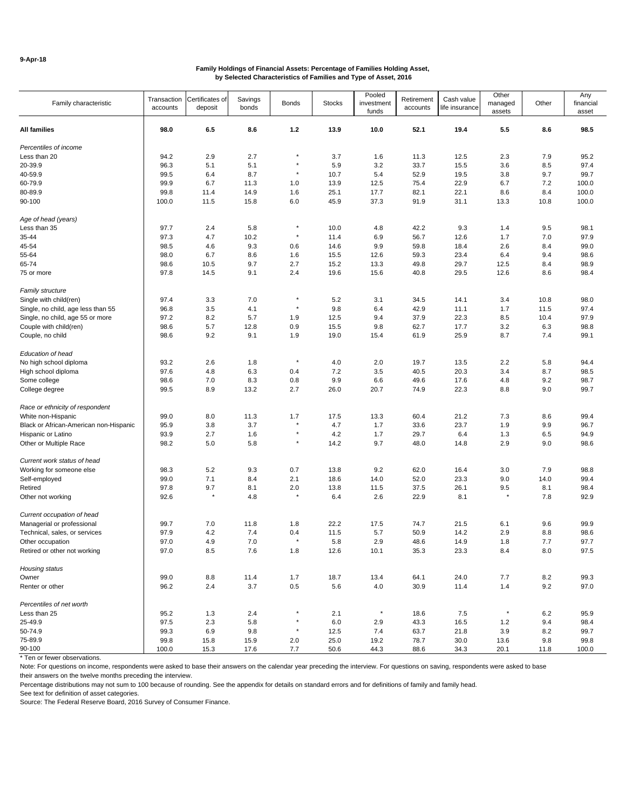| Family characteristic                  | Transaction<br>accounts | Certificates of<br>deposit | Savings<br>bonds | <b>Bonds</b> | <b>Stocks</b> | Pooled<br>investment<br>funds | Retirement<br>accounts | Cash value<br>life insurance | Other<br>managed<br>assets | Other   | Any<br>financial<br>asset |
|----------------------------------------|-------------------------|----------------------------|------------------|--------------|---------------|-------------------------------|------------------------|------------------------------|----------------------------|---------|---------------------------|
| <b>All families</b>                    | 98.0                    | 6.5                        | 8.6              | $1.2$        | 13.9          | 10.0                          | 52.1                   | 19.4                         | 5.5                        | 8.6     | 98.5                      |
| Percentiles of income                  |                         |                            |                  |              |               |                               |                        |                              |                            |         |                           |
| Less than 20                           | 94.2                    | 2.9                        | 2.7              |              | 3.7           | 1.6                           | 11.3                   | 12.5                         | 2.3                        | 7.9     | 95.2                      |
| 20-39.9                                | 96.3                    | 5.1                        | 5.1              | $\star$      | 5.9           | 3.2                           | 33.7                   | 15.5                         | 3.6                        | 8.5     | 97.4                      |
| 40-59.9                                | 99.5                    | 6.4                        | 8.7              | $\star$      | 10.7          | 5.4                           | 52.9                   | 19.5                         | 3.8                        | 9.7     | 99.7                      |
| 60-79.9                                | 99.9                    | 6.7                        | 11.3             | 1.0          | 13.9          | 12.5                          | 75.4                   | 22.9                         | 6.7                        | 7.2     | 100.0                     |
| 80-89.9                                | 99.8                    | 11.4                       | 14.9             | 1.6          | 25.1          | 17.7                          | 82.1                   | 22.1                         | 8.6                        | 8.4     | 100.0                     |
| 90-100                                 | 100.0                   | 11.5                       | 15.8             | 6.0          | 45.9          | 37.3                          | 91.9                   | 31.1                         | 13.3                       | 10.8    | 100.0                     |
| Age of head (years)                    |                         |                            |                  |              |               |                               |                        |                              |                            |         |                           |
| Less than 35                           | 97.7                    | 2.4                        | 5.8              | $\star$      | 10.0          | 4.8                           | 42.2                   | 9.3                          | 1.4                        | 9.5     | 98.1                      |
| 35-44                                  | 97.3                    | 4.7                        | 10.2             | $\star$      | 11.4          | 6.9                           | 56.7                   | 12.6                         | 1.7                        | 7.0     | 97.9                      |
| 45-54                                  | 98.5                    | 4.6                        | 9.3              | 0.6          | 14.6          | 9.9                           | 59.8                   | 18.4                         | 2.6                        | 8.4     | 99.0                      |
| 55-64                                  | 98.0                    | 6.7                        | 8.6              | 1.6          | 15.5          | 12.6                          | 59.3                   | 23.4                         | 6.4                        | 9.4     | 98.6                      |
| 65-74                                  | 98.6                    | 10.5                       | 9.7              | 2.7          | 15.2          | 13.3                          | 49.8                   | 29.7                         | 12.5                       | 8.4     | 98.9                      |
| 75 or more                             | 97.8                    | 14.5                       | 9.1              | 2.4          | 19.6          | 15.6                          | 40.8                   | 29.5                         | 12.6                       | 8.6     | 98.4                      |
| <b>Family structure</b>                |                         |                            |                  |              |               |                               |                        |                              |                            |         |                           |
| Single with child(ren)                 | 97.4                    | 3.3                        | 7.0              | $\star$      | 5.2           | 3.1                           | 34.5                   | 14.1                         | 3.4                        | 10.8    | 98.0                      |
| Single, no child, age less than 55     | 96.8                    | 3.5                        | 4.1              | $\star$      | 9.8           | 6.4                           | 42.9                   | 11.1                         | 1.7                        | 11.5    | 97.4                      |
| Single, no child, age 55 or more       | 97.2                    | 8.2                        | 5.7              | 1.9          | 12.5          | 9.4                           | 37.9                   | 22.3                         | 8.5                        | 10.4    | 97.9                      |
| Couple with child(ren)                 | 98.6                    | 5.7                        | 12.8             | 0.9          | 15.5          | 9.8                           | 62.7                   | 17.7                         | 3.2                        | 6.3     | 98.8                      |
| Couple, no child                       | 98.6                    | 9.2                        | 9.1              | 1.9          | 19.0          | 15.4                          | 61.9                   | 25.9                         | 8.7                        | 7.4     | 99.1                      |
| Education of head                      |                         |                            |                  |              |               |                               |                        |                              |                            |         |                           |
| No high school diploma                 | 93.2                    | 2.6                        | 1.8              | $\star$      | 4.0           | 2.0                           | 19.7                   | 13.5                         | 2.2                        | 5.8     | 94.4                      |
| High school diploma                    | 97.6                    | 4.8                        | 6.3              | 0.4          | 7.2           | 3.5                           | 40.5                   | 20.3                         | 3.4                        | 8.7     | 98.5                      |
| Some college                           | 98.6                    | 7.0                        | 8.3              | 0.8          | 9.9           | 6.6                           | 49.6                   | 17.6                         | 4.8                        | 9.2     | 98.7                      |
| College degree                         | 99.5                    | 8.9                        | 13.2             | 2.7          | 26.0          | 20.7                          | 74.9                   | 22.3                         | 8.8                        | 9.0     | 99.7                      |
| Race or ethnicity of respondent        |                         |                            |                  |              |               |                               |                        |                              |                            |         |                           |
| White non-Hispanic                     | 99.0                    | 8.0                        | 11.3             | 1.7          | 17.5          | 13.3                          | 60.4                   | 21.2                         | 7.3                        | 8.6     | 99.4                      |
| Black or African-American non-Hispanic | 95.9                    | 3.8                        | 3.7              |              | 4.7           | 1.7                           | 33.6                   | 23.7                         | 1.9                        | 9.9     | 96.7                      |
| Hispanic or Latino                     | 93.9                    | 2.7                        | 1.6              | $\star$      | 4.2           | 1.7                           | 29.7                   | 6.4                          | 1.3                        | 6.5     | 94.9                      |
| Other or Multiple Race                 | 98.2                    | 5.0                        | 5.8              |              | 14.2          | 9.7                           | 48.0                   | 14.8                         | 2.9                        | 9.0     | 98.6                      |
| Current work status of head            |                         |                            |                  |              |               |                               |                        |                              |                            |         |                           |
| Working for someone else               | 98.3                    | 5.2                        | 9.3              | 0.7          | 13.8          | 9.2                           | 62.0                   | 16.4                         | 3.0                        | 7.9     | 98.8                      |
| Self-employed                          | 99.0                    | 7.1                        | 8.4              | 2.1          | 18.6          | 14.0                          | 52.0                   | 23.3                         | 9.0                        | 14.0    | 99.4                      |
| Retired                                | 97.8                    | 9.7                        | 8.1              | 2.0          | 13.8          | 11.5                          | 37.5                   | 26.1                         | 9.5                        | 8.1     | 98.4                      |
| Other not working                      | 92.6                    | $\star$                    | 4.8              |              | 6.4           | 2.6                           | 22.9                   | 8.1                          |                            | 7.8     | 92.9                      |
| Current occupation of head             |                         |                            |                  |              |               |                               |                        |                              |                            |         |                           |
| Managerial or professional             | 99.7                    | 7.0                        | 11.8             | 1.8          | 22.2          | 17.5                          | 74.7                   | 21.5                         | 6.1                        | 9.6     | 99.9                      |
| Technical, sales, or services          | 97.9                    | 4.2                        | 7.4              | 0.4          | 11.5          | 5.7                           | 50.9                   | 14.2                         | 2.9                        | 8.8     | 98.6                      |
| Other occupation                       | 97.0                    | 4.9                        | 7.0              |              | 5.8           | 2.9                           | 48.6                   | 14.9                         | 1.8                        | 7.7     | 97.7                      |
| Retired or other not working           | 97.0                    | 8.5                        | 7.6              | 1.8          | 12.6          | 10.1                          | 35.3                   | 23.3                         | 8.4                        | $8.0\,$ | 97.5                      |
| Housing status                         |                         |                            |                  |              |               |                               |                        |                              |                            |         |                           |
| Owner                                  | 99.0                    | 8.8                        | 11.4             | 1.7          | 18.7          | 13.4                          | 64.1                   | 24.0                         | $7.7\,$                    | 8.2     | 99.3                      |
| Renter or other                        | 96.2                    | 2.4                        | $3.7\,$          | $0.5\,$      | 5.6           | 4.0                           | 30.9                   | 11.4                         | 1.4                        | 9.2     | 97.0                      |
| Percentiles of net worth               |                         |                            |                  |              |               |                               |                        |                              |                            |         |                           |
| Less than 25                           | 95.2                    | 1.3                        | 2.4              | $\pmb{\ast}$ | 2.1           | $\pmb{\ast}$                  | 18.6                   | 7.5                          | $\pmb{\ast}$               | 6.2     | 95.9                      |
| 25-49.9                                | 97.5                    | 2.3                        | 5.8              |              | 6.0           | 2.9                           | 43.3                   | 16.5                         | 1.2                        | 9.4     | 98.4                      |
| 50-74.9                                | 99.3                    | 6.9                        | 9.8              | $\star$      | 12.5          | 7.4                           | 63.7                   | 21.8                         | 3.9                        | 8.2     | 99.7                      |
| 75-89.9                                | 99.8                    | 15.8                       | 15.9             | 2.0          | 25.0          | 19.2                          | 78.7                   | 30.0                         | 13.6                       | 9.8     | 99.8                      |
| 90-100                                 | 100.0                   | 15.3                       | 17.6             | 7.7          | 50.6          | 44.3                          | 88.6                   | 34.3                         | 20.1                       | 11.8    | 100.0                     |

\* Ten or fewer observations.

Note: For questions on income, respondents were asked to base their answers on the calendar year preceding the interview. For questions on saving, respondents were asked to base their answers on the twelve months preceding the interview.

Percentage distributions may not sum to 100 because of rounding. See the appendix for details on standard errors and for definitions of family and family head.

See text for definition of asset categories.

Source: The Federal Reserve Board, 2016 Survey of Consumer Finance.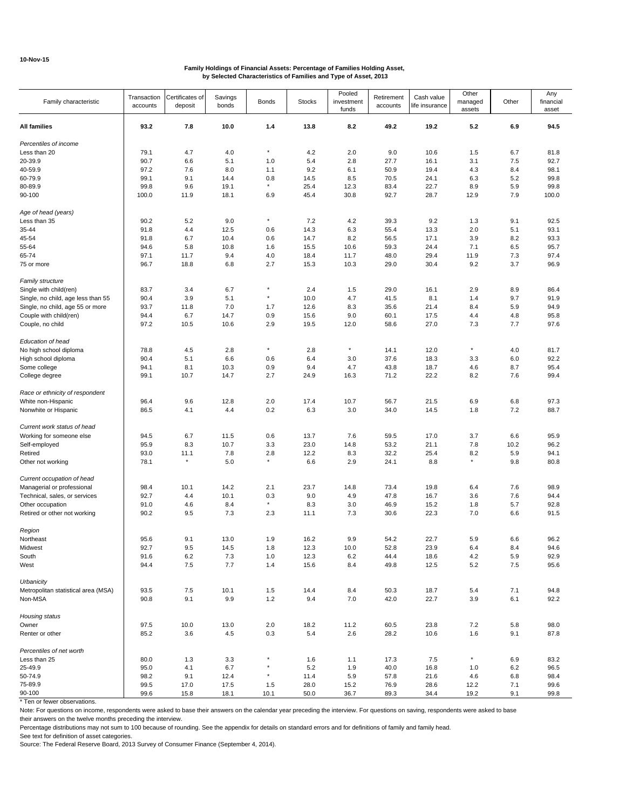| 93.2<br>7.8<br>10.0<br>1.4<br>13.8<br>8.2<br>49.2<br>19.2<br>5.2<br>6.9<br>94.5<br>All families<br>Percentiles of income<br>4.7<br>4.0<br>$\star$<br>4.2<br>2.0<br>9.0<br>10.6<br>Less than 20<br>79.1<br>1.5<br>6.7<br>81.8<br>90.7<br>5.1<br>5.4<br>3.1<br>92.7<br>20-39.9<br>6.6<br>1.0<br>2.8<br>27.7<br>16.1<br>7.5<br>40-59.9<br>97.2<br>7.6<br>9.2<br>50.9<br>98.1<br>8.0<br>6.1<br>19.4<br>4.3<br>8.4<br>1.1<br>60-79.9<br>99.1<br>9.1<br>14.4<br>0.8<br>14.5<br>8.5<br>70.5<br>24.1<br>6.3<br>5.2<br>99.8<br>$^\star$<br>99.8<br>9.6<br>25.4<br>12.3<br>5.9<br>99.8<br>80-89.9<br>19.1<br>83.4<br>22.7<br>8.9<br>100.0<br>30.8<br>92.7<br>28.7<br>12.9<br>7.9<br>100.0<br>90-100<br>11.9<br>18.1<br>6.9<br>45.4<br>Age of head (years)<br>$^\star$<br>Less than 35<br>90.2<br>5.2<br>9.0<br>7.2<br>4.2<br>39.3<br>9.2<br>1.3<br>9.1<br>92.5<br>12.5<br>14.3<br>6.3<br>2.0<br>5.1<br>91.8<br>4.4<br>0.6<br>55.4<br>13.3<br>93.1<br>35-44<br>8.2<br>3.9<br>8.2<br>93.3<br>45-54<br>91.8<br>6.7<br>10.4<br>0.6<br>14.7<br>56.5<br>17.1<br>10.6<br>6.5<br>55-64<br>94.6<br>5.8<br>10.8<br>1.6<br>15.5<br>59.3<br>24.4<br>7.1<br>95.7<br>97.1<br>9.4<br>18.4<br>11.7<br>48.0<br>29.4<br>7.3<br>97.4<br>65-74<br>11.7<br>4.0<br>11.9<br>9.2<br>96.7<br>18.8<br>6.8<br>2.7<br>15.3<br>10.3<br>29.0<br>30.4<br>3.7<br>96.9<br>75 or more<br>Family structure<br>2.4<br>Single with child(ren)<br>83.7<br>3.4<br>6.7<br>1.5<br>29.0<br>16.1<br>2.9<br>8.9<br>86.4<br>90.4<br>3.9<br>5.1<br>$\star$<br>10.0<br>4.7<br>9.7<br>91.9<br>Single, no child, age less than 55<br>41.5<br>8.1<br>1.4<br>Single, no child, age 55 or more<br>93.7<br>11.8<br>7.0<br>1.7<br>12.6<br>8.3<br>35.6<br>21.4<br>8.4<br>5.9<br>94.9<br>6.7<br>0.9<br>15.6<br>9.0<br>4.8<br>Couple with child(ren)<br>94.4<br>14.7<br>60.1<br>17.5<br>4.4<br>95.8<br>97.2<br>10.6<br>2.9<br>19.5<br>27.0<br>7.7<br>97.6<br>Couple, no child<br>10.5<br>12.0<br>58.6<br>7.3<br>Education of head<br>$^\star$<br>$^\star$<br>$\star$<br>2.8<br>2.8<br>No high school diploma<br>78.8<br>4.5<br>14.1<br>12.0<br>4.0<br>81.7<br>90.4<br>5.1<br>6.6<br>6.4<br>37.6<br>92.2<br>High school diploma<br>0.6<br>3.0<br>18.3<br>3.3<br>6.0<br>Some college<br>94.1<br>8.1<br>10.3<br>0.9<br>9.4<br>4.7<br>43.8<br>18.7<br>4.6<br>8.7<br>95.4<br>99.1<br>22.2<br>8.2<br>College degree<br>10.7<br>14.7<br>2.7<br>24.9<br>16.3<br>71.2<br>7.6<br>99.4<br>Race or ethnicity of respondent<br>96.4<br>9.6<br>12.8<br>2.0<br>17.4<br>6.9<br>97.3<br>White non-Hispanic<br>10.7<br>56.7<br>21.5<br>6.8<br>86.5<br>0.2<br>6.3<br>3.0<br>34.0<br>1.8<br>7.2<br>88.7<br>Nonwhite or Hispanic<br>4.1<br>4.4<br>14.5<br>Current work status of head<br>Working for someone else<br>94.5<br>6.7<br>11.5<br>0.6<br>13.7<br>7.6<br>59.5<br>17.0<br>3.7<br>6.6<br>95.9<br>95.9<br>23.0<br>10.2<br>96.2<br>Self-employed<br>8.3<br>10.7<br>3.3<br>14.8<br>53.2<br>21.1<br>7.8<br>93.0<br>12.2<br>8.3<br>32.2<br>8.2<br>Retired<br>11.1<br>7.8<br>2.8<br>25.4<br>5.9<br>94.1<br>$^\star$<br>$\star$<br>$^\star$<br>5.0<br>6.6<br>2.9<br>9.8<br>Other not working<br>78.1<br>24.1<br>8.8<br>80.8<br>Current occupation of head<br>23.7<br>98.9<br>Managerial or professional<br>98.4<br>10.1<br>14.2<br>2.1<br>14.8<br>73.4<br>19.8<br>6.4<br>7.6<br>92.7<br>10.1<br>9.0<br>47.8<br>3.6<br>7.6<br>Technical, sales, or services<br>4.4<br>0.3<br>4.9<br>16.7<br>94.4<br>$^\star$<br>8.4<br>46.9<br>5.7<br>92.8<br>Other occupation<br>91.0<br>4.6<br>8.3<br>3.0<br>15.2<br>1.8<br>90.2<br>9.5<br>7.3<br>2.3<br>7.3<br>30.6<br>22.3<br>7.0<br>6.6<br>91.5<br>Retired or other not working<br>11.1<br>Region<br>95.6<br>9.1<br>13.0<br>1.9<br>16.2<br>9.9<br>54.2<br>22.7<br>5.9<br>6.6<br>96.2<br>Northeast<br>92.7<br>9.5<br>1.8<br>10.0<br>52.8<br>23.9<br>8.4<br>Midwest<br>14.5<br>12.3<br>6.4<br>94.6<br>92.9<br>South<br>91.6<br>6.2<br>7.3<br>1.0<br>12.3<br>6.2<br>44.4<br>18.6<br>4.2<br>5.9<br>7.7<br>7.5<br>15.6<br>8.4<br>49.8<br>12.5<br>5.2<br>95.6<br>West<br>94.4<br>1.4<br>7.5<br>Urbanicity<br>Metropolitan statistical area (MSA)<br>93.5<br>7.5<br>10.1<br>1.5<br>14.4<br>8.4<br>50.3<br>18.7<br>5.4<br>7.1<br>94.8<br>Non-MSA<br>90.8<br>9.1<br>9.9<br>1.2<br>9.4<br>7.0<br>42.0<br>22.7<br>3.9<br>6.1<br>92.2<br>Housing status<br>97.5<br>10.0<br>13.0<br>2.0<br>18.2<br>11.2<br>60.5<br>23.8<br>7.2<br>5.8<br>98.0<br>Owner<br>85.2<br>3.6<br>4.5<br>0.3<br>5.4<br>2.6<br>28.2<br>10.6<br>1.6<br>9.1<br>Renter or other<br>87.8<br>Percentiles of net worth<br>$^\star$<br>Less than 25<br>80.0<br>3.3<br>1.6<br>17.3<br>7.5<br>6.9<br>83.2<br>1.3<br>1.1<br>$\star$<br>25-49.9<br>95.0<br>4.1<br>6.7<br>5.2<br>1.9<br>40.0<br>16.8<br>6.2<br>96.5<br>1.0<br>50-74.9<br>98.2<br>9.1<br>6.8<br>12.4<br>11.4<br>5.9<br>57.8<br>21.6<br>4.6<br>98.4<br>75-89.9<br>99.5<br>17.0<br>17.5<br>28.0<br>15.2<br>76.9<br>28.6<br>12.2<br>7.1<br>99.6<br>1.5<br>90-100<br>50.0<br>36.7<br>99.6<br>15.8<br>18.1<br>10.1<br>89.3<br>34.4<br>19.2<br>9.1<br>99.8 | Family characteristic        | Transaction<br>accounts | Certificates of<br>deposit | Savings<br>bonds | <b>Bonds</b> | <b>Stocks</b> | Pooled<br>investment<br>funds | Retirement<br>accounts | Cash value<br>life insurance | Other<br>managed<br>assets | Other | Any<br>financial<br>asset |
|--------------------------------------------------------------------------------------------------------------------------------------------------------------------------------------------------------------------------------------------------------------------------------------------------------------------------------------------------------------------------------------------------------------------------------------------------------------------------------------------------------------------------------------------------------------------------------------------------------------------------------------------------------------------------------------------------------------------------------------------------------------------------------------------------------------------------------------------------------------------------------------------------------------------------------------------------------------------------------------------------------------------------------------------------------------------------------------------------------------------------------------------------------------------------------------------------------------------------------------------------------------------------------------------------------------------------------------------------------------------------------------------------------------------------------------------------------------------------------------------------------------------------------------------------------------------------------------------------------------------------------------------------------------------------------------------------------------------------------------------------------------------------------------------------------------------------------------------------------------------------------------------------------------------------------------------------------------------------------------------------------------------------------------------------------------------------------------------------------------------------------------------------------------------------------------------------------------------------------------------------------------------------------------------------------------------------------------------------------------------------------------------------------------------------------------------------------------------------------------------------------------------------------------------------------------------------------------------------------------------------------------------------------------------------------------------------------------------------------------------------------------------------------------------------------------------------------------------------------------------------------------------------------------------------------------------------------------------------------------------------------------------------------------------------------------------------------------------------------------------------------------------------------------------------------------------------------------------------------------------------------------------------------------------------------------------------------------------------------------------------------------------------------------------------------------------------------------------------------------------------------------------------------------------------------------------------------------------------------------------------------------------------------------------------------------------------------------------------------------------------------------------------------------------------------------------------------------------------------------------------------------------------------------------------------------------------------------------------------------------------------------------------------------------------------------------------------------------------------------------------------------------------------------------------------------------------------------------------------------------------------------------------------------------------------------------------------------------------------------------------------------------------------------------------------------------------------------------------------------------------------------------------------------------------------------------------------------------------------------------------------------------------------------------------------------------------------------------------------------------------------------------------------------------------------------------------------------------------------------------------------------------------------------------------------------------------------------------------------------------------------------|------------------------------|-------------------------|----------------------------|------------------|--------------|---------------|-------------------------------|------------------------|------------------------------|----------------------------|-------|---------------------------|
|                                                                                                                                                                                                                                                                                                                                                                                                                                                                                                                                                                                                                                                                                                                                                                                                                                                                                                                                                                                                                                                                                                                                                                                                                                                                                                                                                                                                                                                                                                                                                                                                                                                                                                                                                                                                                                                                                                                                                                                                                                                                                                                                                                                                                                                                                                                                                                                                                                                                                                                                                                                                                                                                                                                                                                                                                                                                                                                                                                                                                                                                                                                                                                                                                                                                                                                                                                                                                                                                                                                                                                                                                                                                                                                                                                                                                                                                                                                                                                                                                                                                                                                                                                                                                                                                                                                                                                                                                                                                                                                                                                                                                                                                                                                                                                                                                                                                                                                                                                                                              |                              |                         |                            |                  |              |               |                               |                        |                              |                            |       |                           |
|                                                                                                                                                                                                                                                                                                                                                                                                                                                                                                                                                                                                                                                                                                                                                                                                                                                                                                                                                                                                                                                                                                                                                                                                                                                                                                                                                                                                                                                                                                                                                                                                                                                                                                                                                                                                                                                                                                                                                                                                                                                                                                                                                                                                                                                                                                                                                                                                                                                                                                                                                                                                                                                                                                                                                                                                                                                                                                                                                                                                                                                                                                                                                                                                                                                                                                                                                                                                                                                                                                                                                                                                                                                                                                                                                                                                                                                                                                                                                                                                                                                                                                                                                                                                                                                                                                                                                                                                                                                                                                                                                                                                                                                                                                                                                                                                                                                                                                                                                                                                              |                              |                         |                            |                  |              |               |                               |                        |                              |                            |       |                           |
|                                                                                                                                                                                                                                                                                                                                                                                                                                                                                                                                                                                                                                                                                                                                                                                                                                                                                                                                                                                                                                                                                                                                                                                                                                                                                                                                                                                                                                                                                                                                                                                                                                                                                                                                                                                                                                                                                                                                                                                                                                                                                                                                                                                                                                                                                                                                                                                                                                                                                                                                                                                                                                                                                                                                                                                                                                                                                                                                                                                                                                                                                                                                                                                                                                                                                                                                                                                                                                                                                                                                                                                                                                                                                                                                                                                                                                                                                                                                                                                                                                                                                                                                                                                                                                                                                                                                                                                                                                                                                                                                                                                                                                                                                                                                                                                                                                                                                                                                                                                                              |                              |                         |                            |                  |              |               |                               |                        |                              |                            |       |                           |
|                                                                                                                                                                                                                                                                                                                                                                                                                                                                                                                                                                                                                                                                                                                                                                                                                                                                                                                                                                                                                                                                                                                                                                                                                                                                                                                                                                                                                                                                                                                                                                                                                                                                                                                                                                                                                                                                                                                                                                                                                                                                                                                                                                                                                                                                                                                                                                                                                                                                                                                                                                                                                                                                                                                                                                                                                                                                                                                                                                                                                                                                                                                                                                                                                                                                                                                                                                                                                                                                                                                                                                                                                                                                                                                                                                                                                                                                                                                                                                                                                                                                                                                                                                                                                                                                                                                                                                                                                                                                                                                                                                                                                                                                                                                                                                                                                                                                                                                                                                                                              |                              |                         |                            |                  |              |               |                               |                        |                              |                            |       |                           |
|                                                                                                                                                                                                                                                                                                                                                                                                                                                                                                                                                                                                                                                                                                                                                                                                                                                                                                                                                                                                                                                                                                                                                                                                                                                                                                                                                                                                                                                                                                                                                                                                                                                                                                                                                                                                                                                                                                                                                                                                                                                                                                                                                                                                                                                                                                                                                                                                                                                                                                                                                                                                                                                                                                                                                                                                                                                                                                                                                                                                                                                                                                                                                                                                                                                                                                                                                                                                                                                                                                                                                                                                                                                                                                                                                                                                                                                                                                                                                                                                                                                                                                                                                                                                                                                                                                                                                                                                                                                                                                                                                                                                                                                                                                                                                                                                                                                                                                                                                                                                              |                              |                         |                            |                  |              |               |                               |                        |                              |                            |       |                           |
|                                                                                                                                                                                                                                                                                                                                                                                                                                                                                                                                                                                                                                                                                                                                                                                                                                                                                                                                                                                                                                                                                                                                                                                                                                                                                                                                                                                                                                                                                                                                                                                                                                                                                                                                                                                                                                                                                                                                                                                                                                                                                                                                                                                                                                                                                                                                                                                                                                                                                                                                                                                                                                                                                                                                                                                                                                                                                                                                                                                                                                                                                                                                                                                                                                                                                                                                                                                                                                                                                                                                                                                                                                                                                                                                                                                                                                                                                                                                                                                                                                                                                                                                                                                                                                                                                                                                                                                                                                                                                                                                                                                                                                                                                                                                                                                                                                                                                                                                                                                                              |                              |                         |                            |                  |              |               |                               |                        |                              |                            |       |                           |
|                                                                                                                                                                                                                                                                                                                                                                                                                                                                                                                                                                                                                                                                                                                                                                                                                                                                                                                                                                                                                                                                                                                                                                                                                                                                                                                                                                                                                                                                                                                                                                                                                                                                                                                                                                                                                                                                                                                                                                                                                                                                                                                                                                                                                                                                                                                                                                                                                                                                                                                                                                                                                                                                                                                                                                                                                                                                                                                                                                                                                                                                                                                                                                                                                                                                                                                                                                                                                                                                                                                                                                                                                                                                                                                                                                                                                                                                                                                                                                                                                                                                                                                                                                                                                                                                                                                                                                                                                                                                                                                                                                                                                                                                                                                                                                                                                                                                                                                                                                                                              |                              |                         |                            |                  |              |               |                               |                        |                              |                            |       |                           |
|                                                                                                                                                                                                                                                                                                                                                                                                                                                                                                                                                                                                                                                                                                                                                                                                                                                                                                                                                                                                                                                                                                                                                                                                                                                                                                                                                                                                                                                                                                                                                                                                                                                                                                                                                                                                                                                                                                                                                                                                                                                                                                                                                                                                                                                                                                                                                                                                                                                                                                                                                                                                                                                                                                                                                                                                                                                                                                                                                                                                                                                                                                                                                                                                                                                                                                                                                                                                                                                                                                                                                                                                                                                                                                                                                                                                                                                                                                                                                                                                                                                                                                                                                                                                                                                                                                                                                                                                                                                                                                                                                                                                                                                                                                                                                                                                                                                                                                                                                                                                              |                              |                         |                            |                  |              |               |                               |                        |                              |                            |       |                           |
|                                                                                                                                                                                                                                                                                                                                                                                                                                                                                                                                                                                                                                                                                                                                                                                                                                                                                                                                                                                                                                                                                                                                                                                                                                                                                                                                                                                                                                                                                                                                                                                                                                                                                                                                                                                                                                                                                                                                                                                                                                                                                                                                                                                                                                                                                                                                                                                                                                                                                                                                                                                                                                                                                                                                                                                                                                                                                                                                                                                                                                                                                                                                                                                                                                                                                                                                                                                                                                                                                                                                                                                                                                                                                                                                                                                                                                                                                                                                                                                                                                                                                                                                                                                                                                                                                                                                                                                                                                                                                                                                                                                                                                                                                                                                                                                                                                                                                                                                                                                                              |                              |                         |                            |                  |              |               |                               |                        |                              |                            |       |                           |
|                                                                                                                                                                                                                                                                                                                                                                                                                                                                                                                                                                                                                                                                                                                                                                                                                                                                                                                                                                                                                                                                                                                                                                                                                                                                                                                                                                                                                                                                                                                                                                                                                                                                                                                                                                                                                                                                                                                                                                                                                                                                                                                                                                                                                                                                                                                                                                                                                                                                                                                                                                                                                                                                                                                                                                                                                                                                                                                                                                                                                                                                                                                                                                                                                                                                                                                                                                                                                                                                                                                                                                                                                                                                                                                                                                                                                                                                                                                                                                                                                                                                                                                                                                                                                                                                                                                                                                                                                                                                                                                                                                                                                                                                                                                                                                                                                                                                                                                                                                                                              |                              |                         |                            |                  |              |               |                               |                        |                              |                            |       |                           |
|                                                                                                                                                                                                                                                                                                                                                                                                                                                                                                                                                                                                                                                                                                                                                                                                                                                                                                                                                                                                                                                                                                                                                                                                                                                                                                                                                                                                                                                                                                                                                                                                                                                                                                                                                                                                                                                                                                                                                                                                                                                                                                                                                                                                                                                                                                                                                                                                                                                                                                                                                                                                                                                                                                                                                                                                                                                                                                                                                                                                                                                                                                                                                                                                                                                                                                                                                                                                                                                                                                                                                                                                                                                                                                                                                                                                                                                                                                                                                                                                                                                                                                                                                                                                                                                                                                                                                                                                                                                                                                                                                                                                                                                                                                                                                                                                                                                                                                                                                                                                              |                              |                         |                            |                  |              |               |                               |                        |                              |                            |       |                           |
|                                                                                                                                                                                                                                                                                                                                                                                                                                                                                                                                                                                                                                                                                                                                                                                                                                                                                                                                                                                                                                                                                                                                                                                                                                                                                                                                                                                                                                                                                                                                                                                                                                                                                                                                                                                                                                                                                                                                                                                                                                                                                                                                                                                                                                                                                                                                                                                                                                                                                                                                                                                                                                                                                                                                                                                                                                                                                                                                                                                                                                                                                                                                                                                                                                                                                                                                                                                                                                                                                                                                                                                                                                                                                                                                                                                                                                                                                                                                                                                                                                                                                                                                                                                                                                                                                                                                                                                                                                                                                                                                                                                                                                                                                                                                                                                                                                                                                                                                                                                                              |                              |                         |                            |                  |              |               |                               |                        |                              |                            |       |                           |
|                                                                                                                                                                                                                                                                                                                                                                                                                                                                                                                                                                                                                                                                                                                                                                                                                                                                                                                                                                                                                                                                                                                                                                                                                                                                                                                                                                                                                                                                                                                                                                                                                                                                                                                                                                                                                                                                                                                                                                                                                                                                                                                                                                                                                                                                                                                                                                                                                                                                                                                                                                                                                                                                                                                                                                                                                                                                                                                                                                                                                                                                                                                                                                                                                                                                                                                                                                                                                                                                                                                                                                                                                                                                                                                                                                                                                                                                                                                                                                                                                                                                                                                                                                                                                                                                                                                                                                                                                                                                                                                                                                                                                                                                                                                                                                                                                                                                                                                                                                                                              |                              |                         |                            |                  |              |               |                               |                        |                              |                            |       |                           |
|                                                                                                                                                                                                                                                                                                                                                                                                                                                                                                                                                                                                                                                                                                                                                                                                                                                                                                                                                                                                                                                                                                                                                                                                                                                                                                                                                                                                                                                                                                                                                                                                                                                                                                                                                                                                                                                                                                                                                                                                                                                                                                                                                                                                                                                                                                                                                                                                                                                                                                                                                                                                                                                                                                                                                                                                                                                                                                                                                                                                                                                                                                                                                                                                                                                                                                                                                                                                                                                                                                                                                                                                                                                                                                                                                                                                                                                                                                                                                                                                                                                                                                                                                                                                                                                                                                                                                                                                                                                                                                                                                                                                                                                                                                                                                                                                                                                                                                                                                                                                              |                              |                         |                            |                  |              |               |                               |                        |                              |                            |       |                           |
|                                                                                                                                                                                                                                                                                                                                                                                                                                                                                                                                                                                                                                                                                                                                                                                                                                                                                                                                                                                                                                                                                                                                                                                                                                                                                                                                                                                                                                                                                                                                                                                                                                                                                                                                                                                                                                                                                                                                                                                                                                                                                                                                                                                                                                                                                                                                                                                                                                                                                                                                                                                                                                                                                                                                                                                                                                                                                                                                                                                                                                                                                                                                                                                                                                                                                                                                                                                                                                                                                                                                                                                                                                                                                                                                                                                                                                                                                                                                                                                                                                                                                                                                                                                                                                                                                                                                                                                                                                                                                                                                                                                                                                                                                                                                                                                                                                                                                                                                                                                                              |                              |                         |                            |                  |              |               |                               |                        |                              |                            |       |                           |
|                                                                                                                                                                                                                                                                                                                                                                                                                                                                                                                                                                                                                                                                                                                                                                                                                                                                                                                                                                                                                                                                                                                                                                                                                                                                                                                                                                                                                                                                                                                                                                                                                                                                                                                                                                                                                                                                                                                                                                                                                                                                                                                                                                                                                                                                                                                                                                                                                                                                                                                                                                                                                                                                                                                                                                                                                                                                                                                                                                                                                                                                                                                                                                                                                                                                                                                                                                                                                                                                                                                                                                                                                                                                                                                                                                                                                                                                                                                                                                                                                                                                                                                                                                                                                                                                                                                                                                                                                                                                                                                                                                                                                                                                                                                                                                                                                                                                                                                                                                                                              |                              |                         |                            |                  |              |               |                               |                        |                              |                            |       |                           |
|                                                                                                                                                                                                                                                                                                                                                                                                                                                                                                                                                                                                                                                                                                                                                                                                                                                                                                                                                                                                                                                                                                                                                                                                                                                                                                                                                                                                                                                                                                                                                                                                                                                                                                                                                                                                                                                                                                                                                                                                                                                                                                                                                                                                                                                                                                                                                                                                                                                                                                                                                                                                                                                                                                                                                                                                                                                                                                                                                                                                                                                                                                                                                                                                                                                                                                                                                                                                                                                                                                                                                                                                                                                                                                                                                                                                                                                                                                                                                                                                                                                                                                                                                                                                                                                                                                                                                                                                                                                                                                                                                                                                                                                                                                                                                                                                                                                                                                                                                                                                              |                              |                         |                            |                  |              |               |                               |                        |                              |                            |       |                           |
|                                                                                                                                                                                                                                                                                                                                                                                                                                                                                                                                                                                                                                                                                                                                                                                                                                                                                                                                                                                                                                                                                                                                                                                                                                                                                                                                                                                                                                                                                                                                                                                                                                                                                                                                                                                                                                                                                                                                                                                                                                                                                                                                                                                                                                                                                                                                                                                                                                                                                                                                                                                                                                                                                                                                                                                                                                                                                                                                                                                                                                                                                                                                                                                                                                                                                                                                                                                                                                                                                                                                                                                                                                                                                                                                                                                                                                                                                                                                                                                                                                                                                                                                                                                                                                                                                                                                                                                                                                                                                                                                                                                                                                                                                                                                                                                                                                                                                                                                                                                                              |                              |                         |                            |                  |              |               |                               |                        |                              |                            |       |                           |
|                                                                                                                                                                                                                                                                                                                                                                                                                                                                                                                                                                                                                                                                                                                                                                                                                                                                                                                                                                                                                                                                                                                                                                                                                                                                                                                                                                                                                                                                                                                                                                                                                                                                                                                                                                                                                                                                                                                                                                                                                                                                                                                                                                                                                                                                                                                                                                                                                                                                                                                                                                                                                                                                                                                                                                                                                                                                                                                                                                                                                                                                                                                                                                                                                                                                                                                                                                                                                                                                                                                                                                                                                                                                                                                                                                                                                                                                                                                                                                                                                                                                                                                                                                                                                                                                                                                                                                                                                                                                                                                                                                                                                                                                                                                                                                                                                                                                                                                                                                                                              |                              |                         |                            |                  |              |               |                               |                        |                              |                            |       |                           |
|                                                                                                                                                                                                                                                                                                                                                                                                                                                                                                                                                                                                                                                                                                                                                                                                                                                                                                                                                                                                                                                                                                                                                                                                                                                                                                                                                                                                                                                                                                                                                                                                                                                                                                                                                                                                                                                                                                                                                                                                                                                                                                                                                                                                                                                                                                                                                                                                                                                                                                                                                                                                                                                                                                                                                                                                                                                                                                                                                                                                                                                                                                                                                                                                                                                                                                                                                                                                                                                                                                                                                                                                                                                                                                                                                                                                                                                                                                                                                                                                                                                                                                                                                                                                                                                                                                                                                                                                                                                                                                                                                                                                                                                                                                                                                                                                                                                                                                                                                                                                              |                              |                         |                            |                  |              |               |                               |                        |                              |                            |       |                           |
|                                                                                                                                                                                                                                                                                                                                                                                                                                                                                                                                                                                                                                                                                                                                                                                                                                                                                                                                                                                                                                                                                                                                                                                                                                                                                                                                                                                                                                                                                                                                                                                                                                                                                                                                                                                                                                                                                                                                                                                                                                                                                                                                                                                                                                                                                                                                                                                                                                                                                                                                                                                                                                                                                                                                                                                                                                                                                                                                                                                                                                                                                                                                                                                                                                                                                                                                                                                                                                                                                                                                                                                                                                                                                                                                                                                                                                                                                                                                                                                                                                                                                                                                                                                                                                                                                                                                                                                                                                                                                                                                                                                                                                                                                                                                                                                                                                                                                                                                                                                                              |                              |                         |                            |                  |              |               |                               |                        |                              |                            |       |                           |
|                                                                                                                                                                                                                                                                                                                                                                                                                                                                                                                                                                                                                                                                                                                                                                                                                                                                                                                                                                                                                                                                                                                                                                                                                                                                                                                                                                                                                                                                                                                                                                                                                                                                                                                                                                                                                                                                                                                                                                                                                                                                                                                                                                                                                                                                                                                                                                                                                                                                                                                                                                                                                                                                                                                                                                                                                                                                                                                                                                                                                                                                                                                                                                                                                                                                                                                                                                                                                                                                                                                                                                                                                                                                                                                                                                                                                                                                                                                                                                                                                                                                                                                                                                                                                                                                                                                                                                                                                                                                                                                                                                                                                                                                                                                                                                                                                                                                                                                                                                                                              |                              |                         |                            |                  |              |               |                               |                        |                              |                            |       |                           |
|                                                                                                                                                                                                                                                                                                                                                                                                                                                                                                                                                                                                                                                                                                                                                                                                                                                                                                                                                                                                                                                                                                                                                                                                                                                                                                                                                                                                                                                                                                                                                                                                                                                                                                                                                                                                                                                                                                                                                                                                                                                                                                                                                                                                                                                                                                                                                                                                                                                                                                                                                                                                                                                                                                                                                                                                                                                                                                                                                                                                                                                                                                                                                                                                                                                                                                                                                                                                                                                                                                                                                                                                                                                                                                                                                                                                                                                                                                                                                                                                                                                                                                                                                                                                                                                                                                                                                                                                                                                                                                                                                                                                                                                                                                                                                                                                                                                                                                                                                                                                              |                              |                         |                            |                  |              |               |                               |                        |                              |                            |       |                           |
|                                                                                                                                                                                                                                                                                                                                                                                                                                                                                                                                                                                                                                                                                                                                                                                                                                                                                                                                                                                                                                                                                                                                                                                                                                                                                                                                                                                                                                                                                                                                                                                                                                                                                                                                                                                                                                                                                                                                                                                                                                                                                                                                                                                                                                                                                                                                                                                                                                                                                                                                                                                                                                                                                                                                                                                                                                                                                                                                                                                                                                                                                                                                                                                                                                                                                                                                                                                                                                                                                                                                                                                                                                                                                                                                                                                                                                                                                                                                                                                                                                                                                                                                                                                                                                                                                                                                                                                                                                                                                                                                                                                                                                                                                                                                                                                                                                                                                                                                                                                                              |                              |                         |                            |                  |              |               |                               |                        |                              |                            |       |                           |
|                                                                                                                                                                                                                                                                                                                                                                                                                                                                                                                                                                                                                                                                                                                                                                                                                                                                                                                                                                                                                                                                                                                                                                                                                                                                                                                                                                                                                                                                                                                                                                                                                                                                                                                                                                                                                                                                                                                                                                                                                                                                                                                                                                                                                                                                                                                                                                                                                                                                                                                                                                                                                                                                                                                                                                                                                                                                                                                                                                                                                                                                                                                                                                                                                                                                                                                                                                                                                                                                                                                                                                                                                                                                                                                                                                                                                                                                                                                                                                                                                                                                                                                                                                                                                                                                                                                                                                                                                                                                                                                                                                                                                                                                                                                                                                                                                                                                                                                                                                                                              |                              |                         |                            |                  |              |               |                               |                        |                              |                            |       |                           |
|                                                                                                                                                                                                                                                                                                                                                                                                                                                                                                                                                                                                                                                                                                                                                                                                                                                                                                                                                                                                                                                                                                                                                                                                                                                                                                                                                                                                                                                                                                                                                                                                                                                                                                                                                                                                                                                                                                                                                                                                                                                                                                                                                                                                                                                                                                                                                                                                                                                                                                                                                                                                                                                                                                                                                                                                                                                                                                                                                                                                                                                                                                                                                                                                                                                                                                                                                                                                                                                                                                                                                                                                                                                                                                                                                                                                                                                                                                                                                                                                                                                                                                                                                                                                                                                                                                                                                                                                                                                                                                                                                                                                                                                                                                                                                                                                                                                                                                                                                                                                              |                              |                         |                            |                  |              |               |                               |                        |                              |                            |       |                           |
|                                                                                                                                                                                                                                                                                                                                                                                                                                                                                                                                                                                                                                                                                                                                                                                                                                                                                                                                                                                                                                                                                                                                                                                                                                                                                                                                                                                                                                                                                                                                                                                                                                                                                                                                                                                                                                                                                                                                                                                                                                                                                                                                                                                                                                                                                                                                                                                                                                                                                                                                                                                                                                                                                                                                                                                                                                                                                                                                                                                                                                                                                                                                                                                                                                                                                                                                                                                                                                                                                                                                                                                                                                                                                                                                                                                                                                                                                                                                                                                                                                                                                                                                                                                                                                                                                                                                                                                                                                                                                                                                                                                                                                                                                                                                                                                                                                                                                                                                                                                                              |                              |                         |                            |                  |              |               |                               |                        |                              |                            |       |                           |
|                                                                                                                                                                                                                                                                                                                                                                                                                                                                                                                                                                                                                                                                                                                                                                                                                                                                                                                                                                                                                                                                                                                                                                                                                                                                                                                                                                                                                                                                                                                                                                                                                                                                                                                                                                                                                                                                                                                                                                                                                                                                                                                                                                                                                                                                                                                                                                                                                                                                                                                                                                                                                                                                                                                                                                                                                                                                                                                                                                                                                                                                                                                                                                                                                                                                                                                                                                                                                                                                                                                                                                                                                                                                                                                                                                                                                                                                                                                                                                                                                                                                                                                                                                                                                                                                                                                                                                                                                                                                                                                                                                                                                                                                                                                                                                                                                                                                                                                                                                                                              |                              |                         |                            |                  |              |               |                               |                        |                              |                            |       |                           |
|                                                                                                                                                                                                                                                                                                                                                                                                                                                                                                                                                                                                                                                                                                                                                                                                                                                                                                                                                                                                                                                                                                                                                                                                                                                                                                                                                                                                                                                                                                                                                                                                                                                                                                                                                                                                                                                                                                                                                                                                                                                                                                                                                                                                                                                                                                                                                                                                                                                                                                                                                                                                                                                                                                                                                                                                                                                                                                                                                                                                                                                                                                                                                                                                                                                                                                                                                                                                                                                                                                                                                                                                                                                                                                                                                                                                                                                                                                                                                                                                                                                                                                                                                                                                                                                                                                                                                                                                                                                                                                                                                                                                                                                                                                                                                                                                                                                                                                                                                                                                              |                              |                         |                            |                  |              |               |                               |                        |                              |                            |       |                           |
|                                                                                                                                                                                                                                                                                                                                                                                                                                                                                                                                                                                                                                                                                                                                                                                                                                                                                                                                                                                                                                                                                                                                                                                                                                                                                                                                                                                                                                                                                                                                                                                                                                                                                                                                                                                                                                                                                                                                                                                                                                                                                                                                                                                                                                                                                                                                                                                                                                                                                                                                                                                                                                                                                                                                                                                                                                                                                                                                                                                                                                                                                                                                                                                                                                                                                                                                                                                                                                                                                                                                                                                                                                                                                                                                                                                                                                                                                                                                                                                                                                                                                                                                                                                                                                                                                                                                                                                                                                                                                                                                                                                                                                                                                                                                                                                                                                                                                                                                                                                                              |                              |                         |                            |                  |              |               |                               |                        |                              |                            |       |                           |
|                                                                                                                                                                                                                                                                                                                                                                                                                                                                                                                                                                                                                                                                                                                                                                                                                                                                                                                                                                                                                                                                                                                                                                                                                                                                                                                                                                                                                                                                                                                                                                                                                                                                                                                                                                                                                                                                                                                                                                                                                                                                                                                                                                                                                                                                                                                                                                                                                                                                                                                                                                                                                                                                                                                                                                                                                                                                                                                                                                                                                                                                                                                                                                                                                                                                                                                                                                                                                                                                                                                                                                                                                                                                                                                                                                                                                                                                                                                                                                                                                                                                                                                                                                                                                                                                                                                                                                                                                                                                                                                                                                                                                                                                                                                                                                                                                                                                                                                                                                                                              |                              |                         |                            |                  |              |               |                               |                        |                              |                            |       |                           |
|                                                                                                                                                                                                                                                                                                                                                                                                                                                                                                                                                                                                                                                                                                                                                                                                                                                                                                                                                                                                                                                                                                                                                                                                                                                                                                                                                                                                                                                                                                                                                                                                                                                                                                                                                                                                                                                                                                                                                                                                                                                                                                                                                                                                                                                                                                                                                                                                                                                                                                                                                                                                                                                                                                                                                                                                                                                                                                                                                                                                                                                                                                                                                                                                                                                                                                                                                                                                                                                                                                                                                                                                                                                                                                                                                                                                                                                                                                                                                                                                                                                                                                                                                                                                                                                                                                                                                                                                                                                                                                                                                                                                                                                                                                                                                                                                                                                                                                                                                                                                              |                              |                         |                            |                  |              |               |                               |                        |                              |                            |       |                           |
|                                                                                                                                                                                                                                                                                                                                                                                                                                                                                                                                                                                                                                                                                                                                                                                                                                                                                                                                                                                                                                                                                                                                                                                                                                                                                                                                                                                                                                                                                                                                                                                                                                                                                                                                                                                                                                                                                                                                                                                                                                                                                                                                                                                                                                                                                                                                                                                                                                                                                                                                                                                                                                                                                                                                                                                                                                                                                                                                                                                                                                                                                                                                                                                                                                                                                                                                                                                                                                                                                                                                                                                                                                                                                                                                                                                                                                                                                                                                                                                                                                                                                                                                                                                                                                                                                                                                                                                                                                                                                                                                                                                                                                                                                                                                                                                                                                                                                                                                                                                                              |                              |                         |                            |                  |              |               |                               |                        |                              |                            |       |                           |
|                                                                                                                                                                                                                                                                                                                                                                                                                                                                                                                                                                                                                                                                                                                                                                                                                                                                                                                                                                                                                                                                                                                                                                                                                                                                                                                                                                                                                                                                                                                                                                                                                                                                                                                                                                                                                                                                                                                                                                                                                                                                                                                                                                                                                                                                                                                                                                                                                                                                                                                                                                                                                                                                                                                                                                                                                                                                                                                                                                                                                                                                                                                                                                                                                                                                                                                                                                                                                                                                                                                                                                                                                                                                                                                                                                                                                                                                                                                                                                                                                                                                                                                                                                                                                                                                                                                                                                                                                                                                                                                                                                                                                                                                                                                                                                                                                                                                                                                                                                                                              |                              |                         |                            |                  |              |               |                               |                        |                              |                            |       |                           |
|                                                                                                                                                                                                                                                                                                                                                                                                                                                                                                                                                                                                                                                                                                                                                                                                                                                                                                                                                                                                                                                                                                                                                                                                                                                                                                                                                                                                                                                                                                                                                                                                                                                                                                                                                                                                                                                                                                                                                                                                                                                                                                                                                                                                                                                                                                                                                                                                                                                                                                                                                                                                                                                                                                                                                                                                                                                                                                                                                                                                                                                                                                                                                                                                                                                                                                                                                                                                                                                                                                                                                                                                                                                                                                                                                                                                                                                                                                                                                                                                                                                                                                                                                                                                                                                                                                                                                                                                                                                                                                                                                                                                                                                                                                                                                                                                                                                                                                                                                                                                              |                              |                         |                            |                  |              |               |                               |                        |                              |                            |       |                           |
|                                                                                                                                                                                                                                                                                                                                                                                                                                                                                                                                                                                                                                                                                                                                                                                                                                                                                                                                                                                                                                                                                                                                                                                                                                                                                                                                                                                                                                                                                                                                                                                                                                                                                                                                                                                                                                                                                                                                                                                                                                                                                                                                                                                                                                                                                                                                                                                                                                                                                                                                                                                                                                                                                                                                                                                                                                                                                                                                                                                                                                                                                                                                                                                                                                                                                                                                                                                                                                                                                                                                                                                                                                                                                                                                                                                                                                                                                                                                                                                                                                                                                                                                                                                                                                                                                                                                                                                                                                                                                                                                                                                                                                                                                                                                                                                                                                                                                                                                                                                                              |                              |                         |                            |                  |              |               |                               |                        |                              |                            |       |                           |
|                                                                                                                                                                                                                                                                                                                                                                                                                                                                                                                                                                                                                                                                                                                                                                                                                                                                                                                                                                                                                                                                                                                                                                                                                                                                                                                                                                                                                                                                                                                                                                                                                                                                                                                                                                                                                                                                                                                                                                                                                                                                                                                                                                                                                                                                                                                                                                                                                                                                                                                                                                                                                                                                                                                                                                                                                                                                                                                                                                                                                                                                                                                                                                                                                                                                                                                                                                                                                                                                                                                                                                                                                                                                                                                                                                                                                                                                                                                                                                                                                                                                                                                                                                                                                                                                                                                                                                                                                                                                                                                                                                                                                                                                                                                                                                                                                                                                                                                                                                                                              |                              |                         |                            |                  |              |               |                               |                        |                              |                            |       |                           |
|                                                                                                                                                                                                                                                                                                                                                                                                                                                                                                                                                                                                                                                                                                                                                                                                                                                                                                                                                                                                                                                                                                                                                                                                                                                                                                                                                                                                                                                                                                                                                                                                                                                                                                                                                                                                                                                                                                                                                                                                                                                                                                                                                                                                                                                                                                                                                                                                                                                                                                                                                                                                                                                                                                                                                                                                                                                                                                                                                                                                                                                                                                                                                                                                                                                                                                                                                                                                                                                                                                                                                                                                                                                                                                                                                                                                                                                                                                                                                                                                                                                                                                                                                                                                                                                                                                                                                                                                                                                                                                                                                                                                                                                                                                                                                                                                                                                                                                                                                                                                              |                              |                         |                            |                  |              |               |                               |                        |                              |                            |       |                           |
|                                                                                                                                                                                                                                                                                                                                                                                                                                                                                                                                                                                                                                                                                                                                                                                                                                                                                                                                                                                                                                                                                                                                                                                                                                                                                                                                                                                                                                                                                                                                                                                                                                                                                                                                                                                                                                                                                                                                                                                                                                                                                                                                                                                                                                                                                                                                                                                                                                                                                                                                                                                                                                                                                                                                                                                                                                                                                                                                                                                                                                                                                                                                                                                                                                                                                                                                                                                                                                                                                                                                                                                                                                                                                                                                                                                                                                                                                                                                                                                                                                                                                                                                                                                                                                                                                                                                                                                                                                                                                                                                                                                                                                                                                                                                                                                                                                                                                                                                                                                                              |                              |                         |                            |                  |              |               |                               |                        |                              |                            |       |                           |
|                                                                                                                                                                                                                                                                                                                                                                                                                                                                                                                                                                                                                                                                                                                                                                                                                                                                                                                                                                                                                                                                                                                                                                                                                                                                                                                                                                                                                                                                                                                                                                                                                                                                                                                                                                                                                                                                                                                                                                                                                                                                                                                                                                                                                                                                                                                                                                                                                                                                                                                                                                                                                                                                                                                                                                                                                                                                                                                                                                                                                                                                                                                                                                                                                                                                                                                                                                                                                                                                                                                                                                                                                                                                                                                                                                                                                                                                                                                                                                                                                                                                                                                                                                                                                                                                                                                                                                                                                                                                                                                                                                                                                                                                                                                                                                                                                                                                                                                                                                                                              |                              |                         |                            |                  |              |               |                               |                        |                              |                            |       |                           |
|                                                                                                                                                                                                                                                                                                                                                                                                                                                                                                                                                                                                                                                                                                                                                                                                                                                                                                                                                                                                                                                                                                                                                                                                                                                                                                                                                                                                                                                                                                                                                                                                                                                                                                                                                                                                                                                                                                                                                                                                                                                                                                                                                                                                                                                                                                                                                                                                                                                                                                                                                                                                                                                                                                                                                                                                                                                                                                                                                                                                                                                                                                                                                                                                                                                                                                                                                                                                                                                                                                                                                                                                                                                                                                                                                                                                                                                                                                                                                                                                                                                                                                                                                                                                                                                                                                                                                                                                                                                                                                                                                                                                                                                                                                                                                                                                                                                                                                                                                                                                              |                              |                         |                            |                  |              |               |                               |                        |                              |                            |       |                           |
|                                                                                                                                                                                                                                                                                                                                                                                                                                                                                                                                                                                                                                                                                                                                                                                                                                                                                                                                                                                                                                                                                                                                                                                                                                                                                                                                                                                                                                                                                                                                                                                                                                                                                                                                                                                                                                                                                                                                                                                                                                                                                                                                                                                                                                                                                                                                                                                                                                                                                                                                                                                                                                                                                                                                                                                                                                                                                                                                                                                                                                                                                                                                                                                                                                                                                                                                                                                                                                                                                                                                                                                                                                                                                                                                                                                                                                                                                                                                                                                                                                                                                                                                                                                                                                                                                                                                                                                                                                                                                                                                                                                                                                                                                                                                                                                                                                                                                                                                                                                                              |                              |                         |                            |                  |              |               |                               |                        |                              |                            |       |                           |
|                                                                                                                                                                                                                                                                                                                                                                                                                                                                                                                                                                                                                                                                                                                                                                                                                                                                                                                                                                                                                                                                                                                                                                                                                                                                                                                                                                                                                                                                                                                                                                                                                                                                                                                                                                                                                                                                                                                                                                                                                                                                                                                                                                                                                                                                                                                                                                                                                                                                                                                                                                                                                                                                                                                                                                                                                                                                                                                                                                                                                                                                                                                                                                                                                                                                                                                                                                                                                                                                                                                                                                                                                                                                                                                                                                                                                                                                                                                                                                                                                                                                                                                                                                                                                                                                                                                                                                                                                                                                                                                                                                                                                                                                                                                                                                                                                                                                                                                                                                                                              |                              |                         |                            |                  |              |               |                               |                        |                              |                            |       |                           |
|                                                                                                                                                                                                                                                                                                                                                                                                                                                                                                                                                                                                                                                                                                                                                                                                                                                                                                                                                                                                                                                                                                                                                                                                                                                                                                                                                                                                                                                                                                                                                                                                                                                                                                                                                                                                                                                                                                                                                                                                                                                                                                                                                                                                                                                                                                                                                                                                                                                                                                                                                                                                                                                                                                                                                                                                                                                                                                                                                                                                                                                                                                                                                                                                                                                                                                                                                                                                                                                                                                                                                                                                                                                                                                                                                                                                                                                                                                                                                                                                                                                                                                                                                                                                                                                                                                                                                                                                                                                                                                                                                                                                                                                                                                                                                                                                                                                                                                                                                                                                              |                              |                         |                            |                  |              |               |                               |                        |                              |                            |       |                           |
|                                                                                                                                                                                                                                                                                                                                                                                                                                                                                                                                                                                                                                                                                                                                                                                                                                                                                                                                                                                                                                                                                                                                                                                                                                                                                                                                                                                                                                                                                                                                                                                                                                                                                                                                                                                                                                                                                                                                                                                                                                                                                                                                                                                                                                                                                                                                                                                                                                                                                                                                                                                                                                                                                                                                                                                                                                                                                                                                                                                                                                                                                                                                                                                                                                                                                                                                                                                                                                                                                                                                                                                                                                                                                                                                                                                                                                                                                                                                                                                                                                                                                                                                                                                                                                                                                                                                                                                                                                                                                                                                                                                                                                                                                                                                                                                                                                                                                                                                                                                                              |                              |                         |                            |                  |              |               |                               |                        |                              |                            |       |                           |
|                                                                                                                                                                                                                                                                                                                                                                                                                                                                                                                                                                                                                                                                                                                                                                                                                                                                                                                                                                                                                                                                                                                                                                                                                                                                                                                                                                                                                                                                                                                                                                                                                                                                                                                                                                                                                                                                                                                                                                                                                                                                                                                                                                                                                                                                                                                                                                                                                                                                                                                                                                                                                                                                                                                                                                                                                                                                                                                                                                                                                                                                                                                                                                                                                                                                                                                                                                                                                                                                                                                                                                                                                                                                                                                                                                                                                                                                                                                                                                                                                                                                                                                                                                                                                                                                                                                                                                                                                                                                                                                                                                                                                                                                                                                                                                                                                                                                                                                                                                                                              |                              |                         |                            |                  |              |               |                               |                        |                              |                            |       |                           |
|                                                                                                                                                                                                                                                                                                                                                                                                                                                                                                                                                                                                                                                                                                                                                                                                                                                                                                                                                                                                                                                                                                                                                                                                                                                                                                                                                                                                                                                                                                                                                                                                                                                                                                                                                                                                                                                                                                                                                                                                                                                                                                                                                                                                                                                                                                                                                                                                                                                                                                                                                                                                                                                                                                                                                                                                                                                                                                                                                                                                                                                                                                                                                                                                                                                                                                                                                                                                                                                                                                                                                                                                                                                                                                                                                                                                                                                                                                                                                                                                                                                                                                                                                                                                                                                                                                                                                                                                                                                                                                                                                                                                                                                                                                                                                                                                                                                                                                                                                                                                              |                              |                         |                            |                  |              |               |                               |                        |                              |                            |       |                           |
|                                                                                                                                                                                                                                                                                                                                                                                                                                                                                                                                                                                                                                                                                                                                                                                                                                                                                                                                                                                                                                                                                                                                                                                                                                                                                                                                                                                                                                                                                                                                                                                                                                                                                                                                                                                                                                                                                                                                                                                                                                                                                                                                                                                                                                                                                                                                                                                                                                                                                                                                                                                                                                                                                                                                                                                                                                                                                                                                                                                                                                                                                                                                                                                                                                                                                                                                                                                                                                                                                                                                                                                                                                                                                                                                                                                                                                                                                                                                                                                                                                                                                                                                                                                                                                                                                                                                                                                                                                                                                                                                                                                                                                                                                                                                                                                                                                                                                                                                                                                                              |                              |                         |                            |                  |              |               |                               |                        |                              |                            |       |                           |
|                                                                                                                                                                                                                                                                                                                                                                                                                                                                                                                                                                                                                                                                                                                                                                                                                                                                                                                                                                                                                                                                                                                                                                                                                                                                                                                                                                                                                                                                                                                                                                                                                                                                                                                                                                                                                                                                                                                                                                                                                                                                                                                                                                                                                                                                                                                                                                                                                                                                                                                                                                                                                                                                                                                                                                                                                                                                                                                                                                                                                                                                                                                                                                                                                                                                                                                                                                                                                                                                                                                                                                                                                                                                                                                                                                                                                                                                                                                                                                                                                                                                                                                                                                                                                                                                                                                                                                                                                                                                                                                                                                                                                                                                                                                                                                                                                                                                                                                                                                                                              |                              |                         |                            |                  |              |               |                               |                        |                              |                            |       |                           |
|                                                                                                                                                                                                                                                                                                                                                                                                                                                                                                                                                                                                                                                                                                                                                                                                                                                                                                                                                                                                                                                                                                                                                                                                                                                                                                                                                                                                                                                                                                                                                                                                                                                                                                                                                                                                                                                                                                                                                                                                                                                                                                                                                                                                                                                                                                                                                                                                                                                                                                                                                                                                                                                                                                                                                                                                                                                                                                                                                                                                                                                                                                                                                                                                                                                                                                                                                                                                                                                                                                                                                                                                                                                                                                                                                                                                                                                                                                                                                                                                                                                                                                                                                                                                                                                                                                                                                                                                                                                                                                                                                                                                                                                                                                                                                                                                                                                                                                                                                                                                              |                              |                         |                            |                  |              |               |                               |                        |                              |                            |       |                           |
|                                                                                                                                                                                                                                                                                                                                                                                                                                                                                                                                                                                                                                                                                                                                                                                                                                                                                                                                                                                                                                                                                                                                                                                                                                                                                                                                                                                                                                                                                                                                                                                                                                                                                                                                                                                                                                                                                                                                                                                                                                                                                                                                                                                                                                                                                                                                                                                                                                                                                                                                                                                                                                                                                                                                                                                                                                                                                                                                                                                                                                                                                                                                                                                                                                                                                                                                                                                                                                                                                                                                                                                                                                                                                                                                                                                                                                                                                                                                                                                                                                                                                                                                                                                                                                                                                                                                                                                                                                                                                                                                                                                                                                                                                                                                                                                                                                                                                                                                                                                                              |                              |                         |                            |                  |              |               |                               |                        |                              |                            |       |                           |
|                                                                                                                                                                                                                                                                                                                                                                                                                                                                                                                                                                                                                                                                                                                                                                                                                                                                                                                                                                                                                                                                                                                                                                                                                                                                                                                                                                                                                                                                                                                                                                                                                                                                                                                                                                                                                                                                                                                                                                                                                                                                                                                                                                                                                                                                                                                                                                                                                                                                                                                                                                                                                                                                                                                                                                                                                                                                                                                                                                                                                                                                                                                                                                                                                                                                                                                                                                                                                                                                                                                                                                                                                                                                                                                                                                                                                                                                                                                                                                                                                                                                                                                                                                                                                                                                                                                                                                                                                                                                                                                                                                                                                                                                                                                                                                                                                                                                                                                                                                                                              |                              |                         |                            |                  |              |               |                               |                        |                              |                            |       |                           |
|                                                                                                                                                                                                                                                                                                                                                                                                                                                                                                                                                                                                                                                                                                                                                                                                                                                                                                                                                                                                                                                                                                                                                                                                                                                                                                                                                                                                                                                                                                                                                                                                                                                                                                                                                                                                                                                                                                                                                                                                                                                                                                                                                                                                                                                                                                                                                                                                                                                                                                                                                                                                                                                                                                                                                                                                                                                                                                                                                                                                                                                                                                                                                                                                                                                                                                                                                                                                                                                                                                                                                                                                                                                                                                                                                                                                                                                                                                                                                                                                                                                                                                                                                                                                                                                                                                                                                                                                                                                                                                                                                                                                                                                                                                                                                                                                                                                                                                                                                                                                              |                              |                         |                            |                  |              |               |                               |                        |                              |                            |       |                           |
|                                                                                                                                                                                                                                                                                                                                                                                                                                                                                                                                                                                                                                                                                                                                                                                                                                                                                                                                                                                                                                                                                                                                                                                                                                                                                                                                                                                                                                                                                                                                                                                                                                                                                                                                                                                                                                                                                                                                                                                                                                                                                                                                                                                                                                                                                                                                                                                                                                                                                                                                                                                                                                                                                                                                                                                                                                                                                                                                                                                                                                                                                                                                                                                                                                                                                                                                                                                                                                                                                                                                                                                                                                                                                                                                                                                                                                                                                                                                                                                                                                                                                                                                                                                                                                                                                                                                                                                                                                                                                                                                                                                                                                                                                                                                                                                                                                                                                                                                                                                                              |                              |                         |                            |                  |              |               |                               |                        |                              |                            |       |                           |
|                                                                                                                                                                                                                                                                                                                                                                                                                                                                                                                                                                                                                                                                                                                                                                                                                                                                                                                                                                                                                                                                                                                                                                                                                                                                                                                                                                                                                                                                                                                                                                                                                                                                                                                                                                                                                                                                                                                                                                                                                                                                                                                                                                                                                                                                                                                                                                                                                                                                                                                                                                                                                                                                                                                                                                                                                                                                                                                                                                                                                                                                                                                                                                                                                                                                                                                                                                                                                                                                                                                                                                                                                                                                                                                                                                                                                                                                                                                                                                                                                                                                                                                                                                                                                                                                                                                                                                                                                                                                                                                                                                                                                                                                                                                                                                                                                                                                                                                                                                                                              |                              |                         |                            |                  |              |               |                               |                        |                              |                            |       |                           |
|                                                                                                                                                                                                                                                                                                                                                                                                                                                                                                                                                                                                                                                                                                                                                                                                                                                                                                                                                                                                                                                                                                                                                                                                                                                                                                                                                                                                                                                                                                                                                                                                                                                                                                                                                                                                                                                                                                                                                                                                                                                                                                                                                                                                                                                                                                                                                                                                                                                                                                                                                                                                                                                                                                                                                                                                                                                                                                                                                                                                                                                                                                                                                                                                                                                                                                                                                                                                                                                                                                                                                                                                                                                                                                                                                                                                                                                                                                                                                                                                                                                                                                                                                                                                                                                                                                                                                                                                                                                                                                                                                                                                                                                                                                                                                                                                                                                                                                                                                                                                              | * Ten or fewer observations. |                         |                            |                  |              |               |                               |                        |                              |                            |       |                           |

Note: For questions on income, respondents were asked to base their answers on the calendar year preceding the interview. For questions on saving, respondents were asked to base their answers on the twelve months preceding the interview.

Percentage distributions may not sum to 100 because of rounding. See the appendix for details on standard errors and for definitions of family and family head.

See text for definition of asset categories.

Source: The Federal Reserve Board, 2013 Survey of Consumer Finance (September 4, 2014).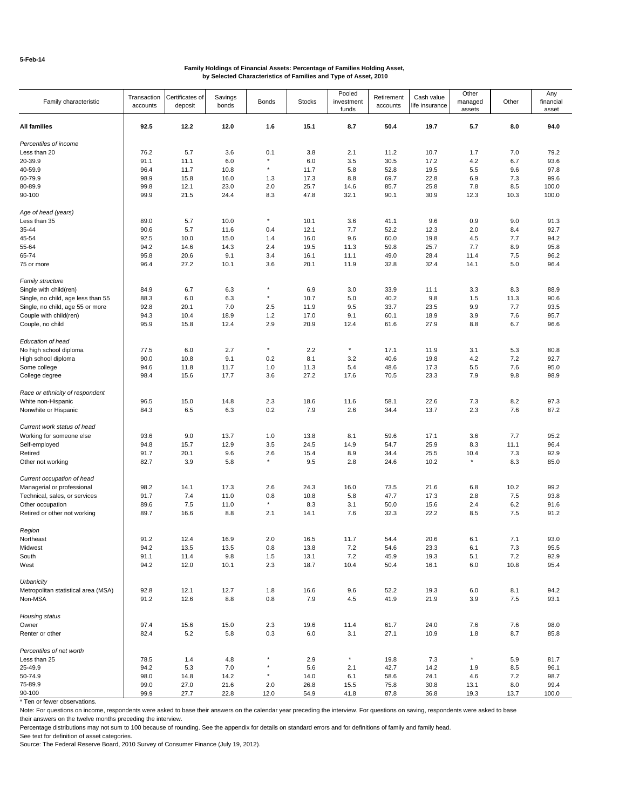|                                     | Transaction | Certificates of | Savings |              |               | Pooled     | Retirement | Cash value     | Other    |       | Any       |
|-------------------------------------|-------------|-----------------|---------|--------------|---------------|------------|------------|----------------|----------|-------|-----------|
| Family characteristic               | accounts    | deposit         | bonds   | <b>Bonds</b> | <b>Stocks</b> | investment | accounts   | life insurance | managed  | Other | financial |
|                                     |             |                 |         |              |               | funds      |            |                | assets   |       | asset     |
| All families                        | 92.5        | 12.2            | 12.0    | 1.6          | 15.1          | 8.7        | 50.4       | 19.7           | 5.7      | 8.0   | 94.0      |
|                                     |             |                 |         |              |               |            |            |                |          |       |           |
| Percentiles of income               |             |                 |         |              |               |            |            |                |          |       |           |
| Less than 20                        | 76.2        | 5.7             | 3.6     | 0.1          | 3.8           | 2.1        | 11.2       | 10.7           | 1.7      | 7.0   | 79.2      |
| 20-39.9                             | 91.1        | 11.1            | 6.0     | $\star$      | 6.0           | 3.5        | 30.5       | 17.2           | 4.2      | 6.7   | 93.6      |
| 40-59.9                             | 96.4        | 11.7            | 10.8    | $^\star$     | 11.7          | 5.8        | 52.8       | 19.5           | 5.5      | 9.6   | 97.8      |
|                                     |             |                 |         |              |               |            |            |                |          |       |           |
| 60-79.9                             | 98.9        | 15.8            | 16.0    | 1.3          | 17.3          | 8.8        | 69.7       | 22.8           | 6.9      | 7.3   | 99.6      |
| 80-89.9                             | 99.8        | 12.1            | 23.0    | 2.0          | 25.7          | 14.6       | 85.7       | 25.8           | 7.8      | 8.5   | 100.0     |
| 90-100                              | 99.9        | 21.5            | 24.4    | 8.3          | 47.8          | 32.1       | 90.1       | 30.9           | 12.3     | 10.3  | 100.0     |
|                                     |             |                 |         |              |               |            |            |                |          |       |           |
| Age of head (years)                 |             |                 |         | $^\star$     |               |            |            |                |          |       |           |
| Less than 35                        | 89.0        | 5.7             | 10.0    |              | 10.1          | 3.6        | 41.1       | 9.6            | 0.9      | 9.0   | 91.3      |
| 35-44                               | 90.6        | 5.7             | 11.6    | 0.4          | 12.1          | 7.7        | 52.2       | 12.3           | 2.0      | 8.4   | 92.7      |
| 45-54                               | 92.5        | 10.0            | 15.0    | 1.4          | 16.0          | 9.6        | 60.0       | 19.8           | 4.5      | 7.7   | 94.2      |
| 55-64                               | 94.2        | 14.6            | 14.3    | 2.4          | 19.5          | 11.3       | 59.8       | 25.7           | 7.7      | 8.9   | 95.8      |
| 65-74                               | 95.8        | 20.6            | 9.1     | 3.4          | 16.1          | 11.1       | 49.0       | 28.4           | 11.4     | 7.5   | 96.2      |
| 75 or more                          | 96.4        | 27.2            | 10.1    | 3.6          | 20.1          | 11.9       | 32.8       | 32.4           | 14.1     | 5.0   | 96.4      |
|                                     |             |                 |         |              |               |            |            |                |          |       |           |
| Family structure                    |             |                 |         |              |               |            |            |                |          |       |           |
| Single with child(ren)              | 84.9        | 6.7             | 6.3     | $\star$      | 6.9           | 3.0        | 33.9       | 11.1           | 3.3      | 8.3   | 88.9      |
| Single, no child, age less than 55  | 88.3        | 6.0             | 6.3     | $^\star$     | 10.7          | 5.0        | 40.2       | 9.8            | 1.5      | 11.3  | 90.6      |
| Single, no child, age 55 or more    | 92.8        | 20.1            | 7.0     | 2.5          | 11.9          | 9.5        | 33.7       | 23.5           | 9.9      | 7.7   | 93.5      |
|                                     |             |                 |         |              |               |            |            |                |          |       |           |
| Couple with child(ren)              | 94.3        | 10.4            | 18.9    | 1.2          | 17.0          | 9.1        | 60.1       | 18.9           | 3.9      | 7.6   | 95.7      |
| Couple, no child                    | 95.9        | 15.8            | 12.4    | 2.9          | 20.9          | 12.4       | 61.6       | 27.9           | 8.8      | 6.7   | 96.6      |
|                                     |             |                 |         |              |               |            |            |                |          |       |           |
| Education of head                   |             |                 |         | $^\star$     |               |            |            |                |          |       |           |
| No high school diploma              | 77.5        | 6.0             | 2.7     |              | 2.2           | $^\star$   | 17.1       | 11.9           | 3.1      | 5.3   | 80.8      |
| High school diploma                 | 90.0        | 10.8            | 9.1     | 0.2          | 8.1           | 3.2        | 40.6       | 19.8           | 4.2      | 7.2   | 92.7      |
| Some college                        | 94.6        | 11.8            | 11.7    | 1.0          | 11.3          | 5.4        | 48.6       | 17.3           | 5.5      | 7.6   | 95.0      |
| College degree                      | 98.4        | 15.6            | 17.7    | 3.6          | 27.2          | 17.6       | 70.5       | 23.3           | 7.9      | 9.8   | 98.9      |
|                                     |             |                 |         |              |               |            |            |                |          |       |           |
| Race or ethnicity of respondent     |             |                 |         |              |               |            |            |                |          |       |           |
| White non-Hispanic                  | 96.5        | 15.0            | 14.8    | 2.3          | 18.6          | 11.6       | 58.1       | 22.6           | 7.3      | 8.2   | 97.3      |
| Nonwhite or Hispanic                | 84.3        | 6.5             | 6.3     | 0.2          | 7.9           | 2.6        | 34.4       | 13.7           | 2.3      | 7.6   | 87.2      |
|                                     |             |                 |         |              |               |            |            |                |          |       |           |
| Current work status of head         |             |                 |         |              |               |            |            |                |          |       |           |
| Working for someone else            | 93.6        | 9.0             | 13.7    | 1.0          | 13.8          | 8.1        | 59.6       | 17.1           | 3.6      | 7.7   | 95.2      |
| Self-employed                       | 94.8        | 15.7            | 12.9    | 3.5          | 24.5          | 14.9       | 54.7       | 25.9           | 8.3      | 11.1  | 96.4      |
| Retired                             | 91.7        | 20.1            | 9.6     | 2.6          | 15.4          | 8.9        | 34.4       | 25.5           | 10.4     | 7.3   | 92.9      |
| Other not working                   | 82.7        | 3.9             | 5.8     | $^\star$     | 9.5           | 2.8        | 24.6       | 10.2           | $\star$  | 8.3   | 85.0      |
|                                     |             |                 |         |              |               |            |            |                |          |       |           |
| Current occupation of head          |             |                 |         |              |               |            |            |                |          |       |           |
| Managerial or professional          | 98.2        | 14.1            | 17.3    | 2.6          | 24.3          | 16.0       | 73.5       | 21.6           | 6.8      | 10.2  | 99.2      |
| Technical, sales, or services       | 91.7        | 7.4             | 11.0    | 0.8          | 10.8          | 5.8        | 47.7       | 17.3           | 2.8      | 7.5   | 93.8      |
| Other occupation                    | 89.6        | 7.5             | 11.0    | $^\star$     | 8.3           | 3.1        | 50.0       | 15.6           | 2.4      | 6.2   | 91.6      |
| Retired or other not working        | 89.7        | 16.6            | 8.8     | 2.1          | 14.1          | 7.6        | 32.3       | 22.2           | 8.5      | 7.5   | 91.2      |
|                                     |             |                 |         |              |               |            |            |                |          |       |           |
| Region                              |             |                 |         |              |               |            |            |                |          |       |           |
| Northeast                           | 91.2        | 12.4            | 16.9    | 2.0          | 16.5          | 11.7       | 54.4       | 20.6           | 6.1      | 7.1   | 93.0      |
| Midwest                             | 94.2        | 13.5            | 13.5    | 0.8          | 13.8          | 7.2        | 54.6       | 23.3           | 6.1      | 7.3   | 95.5      |
| South                               | 91.1        | 11.4            | 9.8     | 1.5          | 13.1          | 7.2        | 45.9       | 19.3           | 5.1      | 7.2   | 92.9      |
| West                                | 94.2        | 12.0            | 10.1    | $2.3\,$      | 18.7          | 10.4       | 50.4       | 16.1           | 6.0      | 10.8  | 95.4      |
|                                     |             |                 |         |              |               |            |            |                |          |       |           |
| Urbanicity                          |             |                 |         |              |               |            |            |                |          |       |           |
| Metropolitan statistical area (MSA) | 92.8        | 12.1            | 12.7    | 1.8          | 16.6          | 9.6        | 52.2       | 19.3           | 6.0      | 8.1   | 94.2      |
| Non-MSA                             | 91.2        | 12.6            | 8.8     | 0.8          | 7.9           | 4.5        | 41.9       | 21.9           | 3.9      | 7.5   | 93.1      |
|                                     |             |                 |         |              |               |            |            |                |          |       |           |
| Housing status                      |             |                 |         |              |               |            |            |                |          |       |           |
| Owner                               | 97.4        | 15.6            | 15.0    | 2.3          | 19.6          | 11.4       | 61.7       | 24.0           | 7.6      | 7.6   | 98.0      |
| Renter or other                     | 82.4        | 5.2             | 5.8     | 0.3          | 6.0           | 3.1        | 27.1       | 10.9           | 1.8      | 8.7   | 85.8      |
|                                     |             |                 |         |              |               |            |            |                |          |       |           |
| Percentiles of net worth            |             |                 |         |              |               |            |            |                |          |       |           |
| Less than 25                        | 78.5        | 1.4             | 4.8     |              | 2.9           | $^\star$   | 19.8       | 7.3            | $^\star$ | 5.9   | 81.7      |
| 25-49.9                             | 94.2        | 5.3             | 7.0     | $^\star$     | 5.6           | 2.1        | 42.7       | 14.2           | 1.9      | 8.5   | 96.1      |
| 50-74.9                             | 98.0        | 14.8            | 14.2    | $^\star$     | 14.0          | 6.1        | 58.6       | 24.1           | 4.6      | 7.2   | 98.7      |
| 75-89.9                             | 99.0        | 27.0            | 21.6    | 2.0          | 26.8          | 15.5       | 75.8       | 30.8           | 13.1     | 8.0   | 99.4      |
| 90-100                              | 99.9        | 27.7            | 22.8    | 12.0         | 54.9          | 41.8       | 87.8       | 36.8           | 19.3     | 13.7  | 100.0     |

\* Ten or fewer observations.

Note: For questions on income, respondents were asked to base their answers on the calendar year preceding the interview. For questions on saving, respondents were asked to base their answers on the twelve months preceding the interview.

Percentage distributions may not sum to 100 because of rounding. See the appendix for details on standard errors and for definitions of family and family head.

See text for definition of asset categories.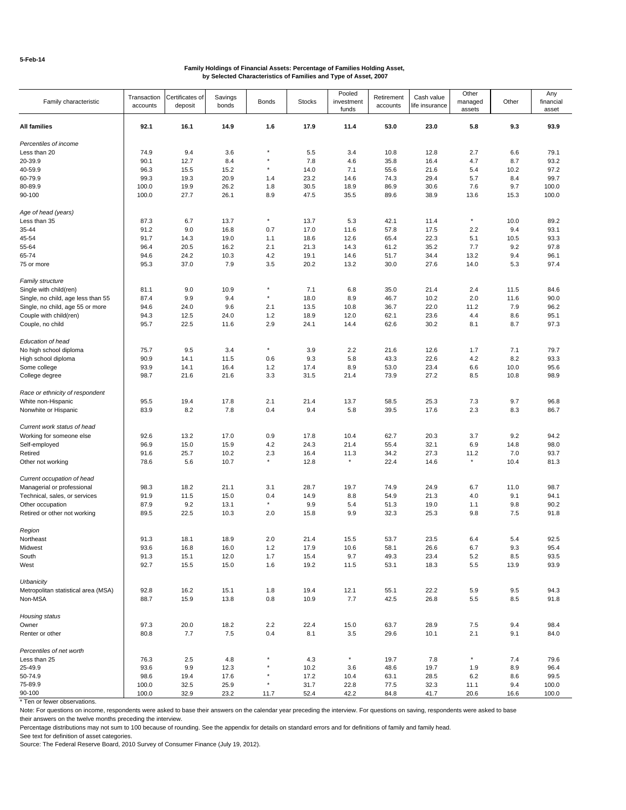|                                     | Transaction | Certificates of | Savings |              |               | Pooled     | Retirement | Cash value     | Other    |       | Any       |
|-------------------------------------|-------------|-----------------|---------|--------------|---------------|------------|------------|----------------|----------|-------|-----------|
| Family characteristic               | accounts    | deposit         | bonds   | <b>Bonds</b> | <b>Stocks</b> | investment | accounts   | life insurance | managed  | Other | financial |
|                                     |             |                 |         |              |               | funds      |            |                | assets   |       | asset     |
|                                     |             |                 |         |              |               |            |            |                |          |       |           |
| All families                        | 92.1        | 16.1            | 14.9    | 1.6          | 17.9          | 11.4       | 53.0       | 23.0           | 5.8      | 9.3   | 93.9      |
| Percentiles of income               |             |                 |         |              |               |            |            |                |          |       |           |
| Less than 20                        | 74.9        | 9.4             | 3.6     |              | 5.5           | 3.4        | 10.8       | 12.8           | 2.7      | 6.6   | 79.1      |
| 20-39.9                             | 90.1        | 12.7            | 8.4     | $\star$      | 7.8           | 4.6        | 35.8       |                | 4.7      | 8.7   | 93.2      |
|                                     |             |                 |         | $^\star$     |               |            |            | 16.4           |          |       |           |
| 40-59.9                             | 96.3        | 15.5            | 15.2    |              | 14.0          | 7.1        | 55.6       | 21.6           | 5.4      | 10.2  | 97.2      |
| 60-79.9                             | 99.3        | 19.3            | 20.9    | 1.4          | 23.2          | 14.6       | 74.3       | 29.4           | 5.7      | 8.4   | 99.7      |
| 80-89.9                             | 100.0       | 19.9            | 26.2    | 1.8          | 30.5          | 18.9       | 86.9       | 30.6           | 7.6      | 9.7   | 100.0     |
| 90-100                              | 100.0       | 27.7            | 26.1    | 8.9          | 47.5          | 35.5       | 89.6       | 38.9           | 13.6     | 15.3  | 100.0     |
|                                     |             |                 |         |              |               |            |            |                |          |       |           |
| Age of head (years)                 |             |                 |         | $^\star$     |               |            |            |                | $^\star$ |       |           |
| Less than 35                        | 87.3        | 6.7             | 13.7    |              | 13.7          | 5.3        | 42.1       | 11.4           |          | 10.0  | 89.2      |
| 35-44                               | 91.2        | 9.0             | 16.8    | 0.7          | 17.0          | 11.6       | 57.8       | 17.5           | 2.2      | 9.4   | 93.1      |
| 45-54                               | 91.7        | 14.3            | 19.0    | 1.1          | 18.6          | 12.6       | 65.4       | 22.3           | 5.1      | 10.5  | 93.3      |
| 55-64                               | 96.4        | 20.5            | 16.2    | 2.1          | 21.3          | 14.3       | 61.2       | 35.2           | 7.7      | 9.2   | 97.8      |
| 65-74                               | 94.6        | 24.2            | 10.3    | 4.2          | 19.1          | 14.6       | 51.7       | 34.4           | 13.2     | 9.4   | 96.1      |
| 75 or more                          | 95.3        | 37.0            | 7.9     | 3.5          | 20.2          | 13.2       | 30.0       | 27.6           | 14.0     | 5.3   | 97.4      |
|                                     |             |                 |         |              |               |            |            |                |          |       |           |
| Family structure                    |             |                 |         |              |               |            |            |                |          |       |           |
| Single with child(ren)              | 81.1        | 9.0             | 10.9    | $\star$      | 7.1           | 6.8        | 35.0       | 21.4           | 2.4      | 11.5  | 84.6      |
| Single, no child, age less than 55  | 87.4        | 9.9             | 9.4     | $^\star$     | 18.0          | 8.9        | 46.7       | 10.2           | 2.0      | 11.6  | 90.0      |
| Single, no child, age 55 or more    | 94.6        | 24.0            | 9.6     | 2.1          | 13.5          | 10.8       | 36.7       | 22.0           | 11.2     | 7.9   | 96.2      |
| Couple with child(ren)              | 94.3        | 12.5            | 24.0    | 1.2          | 18.9          | 12.0       | 62.1       | 23.6           | 4.4      | 8.6   | 95.1      |
| Couple, no child                    | 95.7        | 22.5            | 11.6    | 2.9          | 24.1          | 14.4       | 62.6       | 30.2           | 8.1      | 8.7   | 97.3      |
|                                     |             |                 |         |              |               |            |            |                |          |       |           |
| Education of head                   |             |                 |         |              |               |            |            |                |          |       |           |
| No high school diploma              | 75.7        | 9.5             | 3.4     | $^\star$     | 3.9           | 2.2        | 21.6       | 12.6           | 1.7      | 7.1   | 79.7      |
|                                     |             |                 |         |              |               |            |            |                |          |       |           |
| High school diploma                 | 90.9        | 14.1            | 11.5    | 0.6          | 9.3           | 5.8        | 43.3       | 22.6           | 4.2      | 8.2   | 93.3      |
| Some college                        | 93.9        | 14.1            | 16.4    | 1.2          | 17.4          | 8.9        | 53.0       | 23.4           | 6.6      | 10.0  | 95.6      |
| College degree                      | 98.7        | 21.6            | 21.6    | 3.3          | 31.5          | 21.4       | 73.9       | 27.2           | 8.5      | 10.8  | 98.9      |
|                                     |             |                 |         |              |               |            |            |                |          |       |           |
| Race or ethnicity of respondent     |             |                 |         |              |               |            |            |                |          |       |           |
| White non-Hispanic                  | 95.5        | 19.4            | 17.8    | 2.1          | 21.4          | 13.7       | 58.5       | 25.3           | 7.3      | 9.7   | 96.8      |
| Nonwhite or Hispanic                | 83.9        | 8.2             | 7.8     | 0.4          | 9.4           | 5.8        | 39.5       | 17.6           | 2.3      | 8.3   | 86.7      |
| Current work status of head         |             |                 |         |              |               |            |            |                |          |       |           |
| Working for someone else            | 92.6        | 13.2            | 17.0    | 0.9          | 17.8          | 10.4       | 62.7       | 20.3           | 3.7      | 9.2   | 94.2      |
|                                     |             |                 |         |              |               |            |            |                |          |       |           |
| Self-employed                       | 96.9        | 15.0            | 15.9    | 4.2          | 24.3          | 21.4       | 55.4       | 32.1           | 6.9      | 14.8  | 98.0      |
| Retired                             | 91.6        | 25.7            | 10.2    | 2.3          | 16.4          | 11.3       | 34.2       | 27.3           | 11.2     | 7.0   | 93.7      |
| Other not working                   | 78.6        | 5.6             | 10.7    | $^\star$     | 12.8          | $\star$    | 22.4       | 14.6           | $\star$  | 10.4  | 81.3      |
|                                     |             |                 |         |              |               |            |            |                |          |       |           |
| Current occupation of head          |             |                 |         |              |               |            |            |                |          |       |           |
| Managerial or professional          | 98.3        | 18.2            | 21.1    | 3.1          | 28.7          | 19.7       | 74.9       | 24.9           | 6.7      | 11.0  | 98.7      |
| Technical, sales, or services       | 91.9        | 11.5            | 15.0    | 0.4          | 14.9          | 8.8        | 54.9       | 21.3           | 4.0      | 9.1   | 94.1      |
| Other occupation                    | 87.9        | 9.2             | 13.1    | $\star$      | 9.9           | 5.4        | 51.3       | 19.0           | 1.1      | 9.8   | 90.2      |
| Retired or other not working        | 89.5        | 22.5            | 10.3    | 2.0          | 15.8          | 9.9        | 32.3       | 25.3           | 9.8      | 7.5   | 91.8      |
|                                     |             |                 |         |              |               |            |            |                |          |       |           |
| Region                              |             |                 |         |              |               |            |            |                |          |       |           |
| Northeast                           | 91.3        | 18.1            | 18.9    | 2.0          | 21.4          | 15.5       | 53.7       | 23.5           | 6.4      | 5.4   | 92.5      |
| Midwest                             | 93.6        | 16.8            | 16.0    | 1.2          | 17.9          | 10.6       | 58.1       | 26.6           | 6.7      | 9.3   | 95.4      |
| South                               | 91.3        | 15.1            | 12.0    | 1.7          | 15.4          | 9.7        | 49.3       | 23.4           | 5.2      | 8.5   | 93.5      |
| West                                | 92.7        | 15.5            | 15.0    | 1.6          | 19.2          | 11.5       | 53.1       | 18.3           | 5.5      | 13.9  | 93.9      |
|                                     |             |                 |         |              |               |            |            |                |          |       |           |
| Urbanicity                          |             |                 |         |              |               |            |            |                |          |       |           |
| Metropolitan statistical area (MSA) | 92.8        | 16.2            | 15.1    | 1.8          | 19.4          | 12.1       | 55.1       | 22.2           | 5.9      | 9.5   | 94.3      |
| Non-MSA                             | 88.7        | 15.9            | 13.8    | 0.8          | 10.9          | 7.7        | 42.5       | 26.8           | 5.5      | 8.5   | 91.8      |
| Housing status                      |             |                 |         |              |               |            |            |                |          |       |           |
| Owner                               | 97.3        | 20.0            | 18.2    | 2.2          | 22.4          | 15.0       | 63.7       | 28.9           | 7.5      | 9.4   | 98.4      |
|                                     |             |                 |         |              |               |            |            |                |          |       |           |
| Renter or other                     | 80.8        | 7.7             | 7.5     | 0.4          | 8.1           | 3.5        | 29.6       | 10.1           | 2.1      | 9.1   | 84.0      |
| Percentiles of net worth            |             |                 |         |              |               |            |            |                |          |       |           |
| Less than 25                        | 76.3        | 2.5             | 4.8     |              | 4.3           | $^\star$   | 19.7       | 7.8            | $^\star$ | 7.4   | 79.6      |
|                                     |             |                 |         | $^\star$     |               |            |            |                |          |       |           |
| 25-49.9                             | 93.6        | 9.9             | 12.3    |              | 10.2          | 3.6        | 48.6       | 19.7           | 1.9      | 8.9   | 96.4      |
| 50-74.9                             | 98.6        | 19.4            | 17.6    |              | 17.2          | 10.4       | 63.1       | 28.5           | 6.2      | 8.6   | 99.5      |
| 75-89.9                             | 100.0       | 32.5            | 25.9    | $\star$      | 31.7          | 22.8       | 77.5       | 32.3           | 11.1     | 9.4   | 100.0     |
| 90-100                              | 100.0       | 32.9            | 23.2    | 11.7         | 52.4          | 42.2       | 84.8       | 41.7           | 20.6     | 16.6  | 100.0     |

\* Ten or fewer observations.

Note: For questions on income, respondents were asked to base their answers on the calendar year preceding the interview. For questions on saving, respondents were asked to base their answers on the twelve months preceding the interview.

Percentage distributions may not sum to 100 because of rounding. See the appendix for details on standard errors and for definitions of family and family head.

See text for definition of asset categories.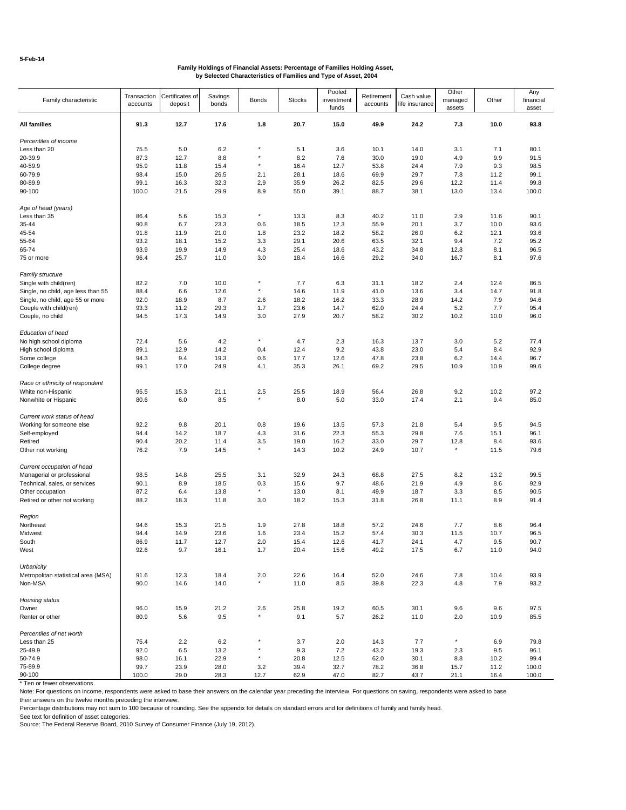| Family characteristic               | Transaction<br>accounts | Certificates of<br>deposit | Savings<br>bonds | <b>Bonds</b> | <b>Stocks</b> | Pooled<br>investment<br>funds | Retirement<br>accounts | Cash value<br>life insurance | Other<br>managed<br>assets | Other | Any<br>financial<br>asset |
|-------------------------------------|-------------------------|----------------------------|------------------|--------------|---------------|-------------------------------|------------------------|------------------------------|----------------------------|-------|---------------------------|
| All families                        | 91.3                    | 12.7                       | 17.6             | 1.8          | 20.7          | 15.0                          | 49.9                   | 24.2                         | 7.3                        | 10.0  | 93.8                      |
| Percentiles of income               |                         |                            |                  |              |               |                               |                        |                              |                            |       |                           |
| Less than 20                        | 75.5                    | 5.0                        | 6.2              | $\star$      | 5.1           | 3.6                           | 10.1                   | 14.0                         | 3.1                        | 7.1   | 80.1                      |
| 20-39.9                             | 87.3                    | 12.7                       | 8.8              | $\star$      | 8.2           | 7.6                           | 30.0                   | 19.0                         | 4.9                        | 9.9   | 91.5                      |
| 40-59.9                             | 95.9                    | 11.8                       | 15.4             | $\star$      | 16.4          | 12.7                          | 53.8                   | 24.4                         | 7.9                        | 9.3   | 98.5                      |
| 60-79.9                             | 98.4                    | 15.0                       | 26.5             | 2.1          | 28.1          | 18.6                          | 69.9                   | 29.7                         | 7.8                        | 11.2  | 99.1                      |
| 80-89.9                             | 99.1                    | 16.3                       | 32.3             | 2.9          | 35.9          | 26.2                          | 82.5                   | 29.6                         | 12.2                       | 11.4  | 99.8                      |
| 90-100                              | 100.0                   | 21.5                       | 29.9             | 8.9          | 55.0          | 39.1                          | 88.7                   | 38.1                         | 13.0                       | 13.4  | 100.0                     |
| Age of head (years)                 |                         |                            |                  |              |               |                               |                        |                              |                            |       |                           |
| Less than 35                        | 86.4                    | 5.6                        | 15.3             | $\star$      | 13.3          | 8.3                           | 40.2                   | 11.0                         | 2.9                        | 11.6  | 90.1                      |
| 35-44                               | 90.8                    | 6.7                        | 23.3             | 0.6          | 18.5          | 12.3                          | 55.9                   | 20.1                         | 3.7                        | 10.0  | 93.6                      |
| 45-54                               | 91.8                    | 11.9                       | 21.0             | 1.8          | 23.2          | 18.2                          | 58.2                   | 26.0                         | 6.2                        | 12.1  | 93.6                      |
| 55-64                               | 93.2                    | 18.1                       | 15.2             | 3.3          | 29.1          | 20.6                          | 63.5                   | 32.1                         | 9.4                        | 7.2   | 95.2                      |
| 65-74                               | 93.9                    | 19.9                       | 14.9             | 4.3          | 25.4          | 18.6                          | 43.2                   | 34.8                         | 12.8                       | 8.1   | 96.5                      |
| 75 or more                          | 96.4                    | 25.7                       | 11.0             | 3.0          | 18.4          | 16.6                          | 29.2                   | 34.0                         | 16.7                       | 8.1   | 97.6                      |
| <b>Family structure</b>             |                         |                            |                  |              |               |                               |                        |                              |                            |       |                           |
| Single with child(ren)              | 82.2                    | 7.0                        | 10.0             | ×            | 7.7           | 6.3                           | 31.1                   | 18.2                         | 2.4                        | 12.4  | 86.5                      |
| Single, no child, age less than 55  | 88.4                    | 6.6                        | 12.6             | $\star$      | 14.6          | 11.9                          | 41.0                   | 13.6                         | 3.4                        | 14.7  | 91.8                      |
| Single, no child, age 55 or more    | 92.0                    | 18.9                       | 8.7              | 2.6          | 18.2          | 16.2                          | 33.3                   | 28.9                         | 14.2                       | 7.9   | 94.6                      |
| Couple with child(ren)              | 93.3                    | 11.2                       | 29.3             | 1.7          | 23.6          | 14.7                          | 62.0                   | 24.4                         | 5.2                        | 7.7   | 95.4                      |
| Couple, no child                    | 94.5                    | 17.3                       | 14.9             | 3.0          | 27.9          | 20.7                          | 58.2                   | 30.2                         | 10.2                       | 10.0  | 96.0                      |
| Education of head                   |                         |                            |                  |              |               |                               |                        |                              |                            |       |                           |
| No high school diploma              | 72.4                    | 5.6                        | 4.2              | $\star$      | 4.7           | 2.3                           | 16.3                   | 13.7                         | 3.0                        | 5.2   | 77.4                      |
| High school diploma                 | 89.1                    | 12.9                       | 14.2             | 0.4          | 12.4          | 9.2                           | 43.8                   | 23.0                         | 5.4                        | 8.4   | 92.9                      |
| Some college                        | 94.3                    | 9.4                        | 19.3             | 0.6          | 17.7          | 12.6                          | 47.8                   | 23.8                         | 6.2                        | 14.4  | 96.7                      |
| College degree                      | 99.1                    | 17.0                       | 24.9             | 4.1          | 35.3          | 26.1                          | 69.2                   | 29.5                         | 10.9                       | 10.9  | 99.6                      |
| Race or ethnicity of respondent     |                         |                            |                  |              |               |                               |                        |                              |                            |       |                           |
| White non-Hispanic                  | 95.5                    | 15.3                       | 21.1             | 2.5          | 25.5          | 18.9                          | 56.4                   | 26.8                         | 9.2                        | 10.2  | 97.2                      |
| Nonwhite or Hispanic                | 80.6                    | 6.0                        | 8.5              | $\star$      | 8.0           | 5.0                           | 33.0                   | 17.4                         | 2.1                        | 9.4   | 85.0                      |
| Current work status of head         |                         |                            |                  |              |               |                               |                        |                              |                            |       |                           |
| Working for someone else            | 92.2                    | 9.8                        | 20.1             | 0.8          | 19.6          | 13.5                          | 57.3                   | 21.8                         | 5.4                        | 9.5   | 94.5                      |
| Self-employed                       | 94.4                    | 14.2                       | 18.7             | 4.3          | 31.6          | 22.3                          | 55.3                   | 29.8                         | 7.6                        | 15.1  | 96.1                      |
| Retired                             | 90.4                    | 20.2                       | 11.4             | 3.5          | 19.0          | 16.2                          | 33.0                   | 29.7                         | 12.8                       | 8.4   | 93.6                      |
| Other not working                   | 76.2                    | 7.9                        | 14.5             | $\star$      | 14.3          | 10.2                          | 24.9                   | 10.7                         | $^\star$                   | 11.5  | 79.6                      |
| Current occupation of head          |                         |                            |                  |              |               |                               |                        |                              |                            |       |                           |
| Managerial or professional          | 98.5                    | 14.8                       | 25.5             | 3.1          | 32.9          | 24.3                          | 68.8                   | 27.5                         | 8.2                        | 13.2  | 99.5                      |
| Technical, sales, or services       | 90.1                    | 8.9                        | 18.5             | 0.3          | 15.6          | 9.7                           | 48.6                   | 21.9                         | 4.9                        | 8.6   | 92.9                      |
| Other occupation                    | 87.2                    | 6.4                        | 13.8             | $\star$      | 13.0          | 8.1                           | 49.9                   | 18.7                         | 3.3                        | 8.5   | 90.5                      |
| Retired or other not working        | 88.2                    | 18.3                       | 11.8             | 3.0          | 18.2          | 15.3                          | 31.8                   | 26.8                         | 11.1                       | 8.9   | 91.4                      |
| Region                              |                         |                            |                  |              |               |                               |                        |                              |                            |       |                           |
| Northeast                           | 94.6                    | 15.3                       | 21.5             | 1.9          | 27.8          | 18.8                          | 57.2                   | 24.6                         | 7.7                        | 8.6   | 96.4                      |
| Midwest                             | 94.4                    | 14.9                       | 23.6             | 1.6          | 23.4          | 15.2                          | 57.4                   | 30.3                         | 11.5                       | 10.7  | 96.5                      |
| South                               | 86.9                    | 11.7                       | 12.7             | 2.0          | 15.4          | 12.6                          | 41.7                   | 24.1                         | 4.7                        | 9.5   | 90.7                      |
| West                                | 92.6                    | 9.7                        | 16.1             | 1.7          | 20.4          | 15.6                          | 49.2                   | 17.5                         | 6.7                        | 11.0  | 94.0                      |
| Urbanicity                          |                         |                            |                  |              |               |                               |                        |                              |                            |       |                           |
| Metropolitan statistical area (MSA) | 91.6                    | 12.3                       | 18.4             | 2.0          | 22.6          | 16.4                          | 52.0                   | 24.6                         | 7.8                        | 10.4  | 93.9                      |
| Non-MSA                             | 90.0                    | 14.6                       | 14.0             | $\star$      | 11.0          | 8.5                           | 39.8                   | 22.3                         | 4.8                        | 7.9   | 93.2                      |
| Housing status                      |                         |                            |                  |              |               |                               |                        |                              |                            |       |                           |
| Owner                               | 96.0                    | 15.9                       | 21.2             | 2.6          | 25.8          | 19.2                          | 60.5                   | 30.1                         | 9.6                        | 9.6   | 97.5                      |
| Renter or other                     | 80.9                    | 5.6                        | 9.5              | $\star$      | 9.1           | 5.7                           | 26.2                   | 11.0                         | 2.0                        | 10.9  | 85.5                      |
| Percentiles of net worth            |                         |                            |                  |              |               |                               |                        |                              |                            |       |                           |
| Less than 25                        | 75.4                    | 2.2                        | 6.2              | $\star$      | 3.7           | 2.0                           | 14.3                   | 7.7                          | $^\star$                   | 6.9   | 79.8                      |
| 25-49.9                             | 92.0                    | 6.5                        | 13.2             |              | 9.3           | 7.2                           | 43.2                   | 19.3                         | 2.3                        | 9.5   | 96.1                      |
| 50-74.9                             | 98.0                    | 16.1                       | 22.9             | $\star$      | 20.8          | 12.5                          | 62.0                   | 30.1                         | 8.8                        | 10.2  | 99.4                      |
| 75-89.9                             | 99.7                    | 23.9                       | 28.0             | 3.2          | 39.4          | 32.7                          | 78.2                   | 36.8                         | 15.7                       | 11.2  | 100.0                     |
| 90-100                              | 100.0                   | 29.0                       | 28.3             | 12.7         | 62.9          | 47.0                          | 82.7                   | 43.7                         | 21.1                       | 16.4  | 100.0                     |

\* Ten or fewer observations.

Note: For questions on income, respondents were asked to base their answers on the calendar year preceding the interview. For questions on saving, respondents were asked to base their answers on the twelve months preceding the interview.

Percentage distributions may not sum to 100 because of rounding. See the appendix for details on standard errors and for definitions of family and family head.

See text for definition of asset categories. Source: The Federal Reserve Board, 2010 Survey of Consumer Finance (July 19, 2012).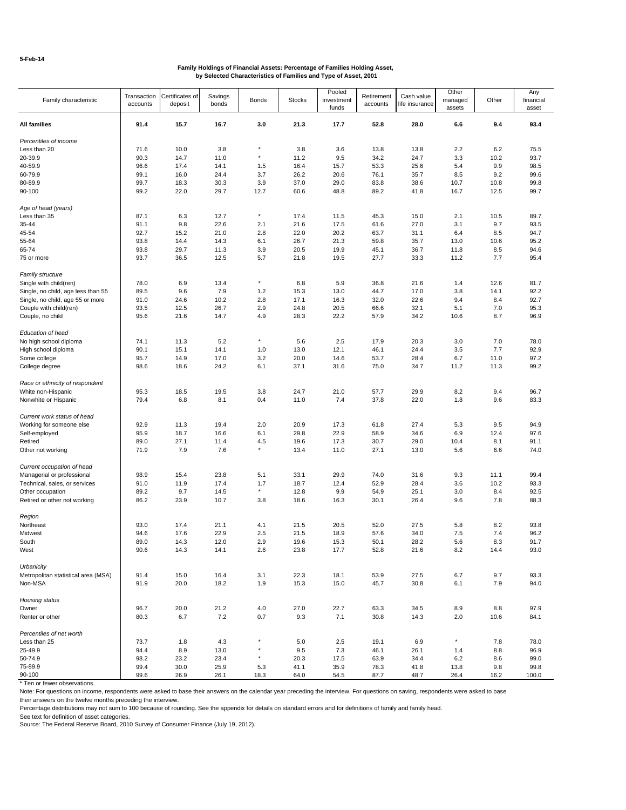| Family characteristic               | Transaction<br>accounts | Certificates of<br>deposit | Savings<br>bonds | Bonds           | <b>Stocks</b> | Pooled<br>investment<br>funds | Retirement<br>accounts | Cash value<br>life insurance | Other<br>managed<br>assets | Other | Any<br>financial<br>asset |
|-------------------------------------|-------------------------|----------------------------|------------------|-----------------|---------------|-------------------------------|------------------------|------------------------------|----------------------------|-------|---------------------------|
| All families                        | 91.4                    | 15.7                       | 16.7             | 3.0             | 21.3          | 17.7                          | 52.8                   | 28.0                         | 6.6                        | 9.4   | 93.4                      |
| Percentiles of income               |                         |                            |                  |                 |               |                               |                        |                              |                            |       |                           |
| Less than 20                        | 71.6                    | 10.0                       | 3.8              | ×               | 3.8           | 3.6                           | 13.8                   | 13.8                         | 2.2                        | 6.2   | 75.5                      |
| 20-39.9                             | 90.3                    | 14.7                       | 11.0             | ×               | 11.2          | 9.5                           | 34.2                   | 24.7                         | 3.3                        | 10.2  | 93.7                      |
| 40-59.9                             | 96.6                    | 17.4                       | 14.1             | 1.5             | 16.4          | 15.7                          | 53.3                   | 25.6                         | 5.4                        | 9.9   | 98.5                      |
| 60-79.9                             | 99.1                    | 16.0                       | 24.4             | 3.7             | 26.2          | 20.6                          | 76.1                   | 35.7                         | 8.5                        | 9.2   | 99.6                      |
| 80-89.9                             | 99.7                    | 18.3                       | 30.3             | 3.9             | 37.0          | 29.0                          | 83.8                   | 38.6                         | 10.7                       | 10.8  | 99.8                      |
| 90-100                              | 99.2                    | 22.0                       | 29.7             | 12.7            | 60.6          | 48.8                          | 89.2                   | 41.8                         | 16.7                       | 12.5  | 99.7                      |
| Age of head (years)                 |                         |                            |                  |                 |               |                               |                        |                              |                            |       |                           |
| Less than 35                        | 87.1                    | 6.3                        | 12.7             | $\star$         | 17.4          | 11.5                          | 45.3                   | 15.0                         | 2.1                        | 10.5  | 89.7                      |
| 35-44                               | 91.1                    | 9.8                        | 22.6             | 2.1             | 21.6          | 17.5                          | 61.6                   | 27.0                         | 3.1                        | 9.7   | 93.5                      |
| 45-54                               | 92.7                    | 15.2                       | 21.0             | 2.8             | 22.0          | 20.2                          | 63.7                   | 31.1                         | 6.4                        | 8.5   | 94.7                      |
| 55-64                               | 93.8                    | 14.4                       | 14.3             | 6.1             | 26.7          | 21.3                          | 59.8                   | 35.7                         | 13.0                       | 10.6  | 95.2                      |
| 65-74                               | 93.8                    | 29.7                       | 11.3             | 3.9             | 20.5          | 19.9                          | 45.1                   | 36.7                         | 11.8                       | 8.5   | 94.6                      |
| 75 or more                          | 93.7                    | 36.5                       | 12.5             | 5.7             | 21.8          | 19.5                          | 27.7                   | 33.3                         | 11.2                       | 7.7   | 95.4                      |
| <b>Family structure</b>             |                         |                            |                  |                 |               |                               |                        |                              |                            |       |                           |
| Single with child(ren)              | 78.0                    | 6.9                        | 13.4             | $\star$         | 6.8           | 5.9                           | 36.8                   | 21.6                         | 1.4                        | 12.6  | 81.7                      |
| Single, no child, age less than 55  | 89.5                    | 9.6                        | 7.9              | 1.2             | 15.3          | 13.0                          | 44.7                   | 17.0                         | 3.8                        | 14.1  | 92.2                      |
| Single, no child, age 55 or more    | 91.0                    | 24.6                       | 10.2             | 2.8             | 17.1          | 16.3                          | 32.0                   | 22.6                         | 9.4                        | 8.4   | 92.7                      |
| Couple with child(ren)              | 93.5                    | 12.5                       | 26.7             | 2.9             | 24.8          | 20.5                          | 66.6                   | 32.1                         | 5.1                        | 7.0   | 95.3                      |
| Couple, no child                    | 95.6                    | 21.6                       | 14.7             | 4.9             | 28.3          | 22.2                          | 57.9                   | 34.2                         | 10.6                       | 8.7   | 96.9                      |
| Education of head                   |                         |                            |                  |                 |               |                               |                        |                              |                            |       |                           |
| No high school diploma              | 74.1                    | 11.3                       | 5.2              | $\star$         | 5.6           | 2.5                           | 17.9                   | 20.3                         | 3.0                        | 7.0   | 78.0                      |
| High school diploma                 | 90.1                    | 15.1                       | 14.1             | 1.0             | 13.0          | 12.1                          | 46.1                   | 24.4                         | 3.5                        | 7.7   | 92.9                      |
| Some college                        | 95.7                    | 14.9                       | 17.0             | 3.2             | 20.0          | 14.6                          | 53.7                   | 28.4                         | 6.7                        | 11.0  | 97.2                      |
| College degree                      | 98.6                    | 18.6                       | 24.2             | 6.1             | 37.1          | 31.6                          | 75.0                   | 34.7                         | 11.2                       | 11.3  | 99.2                      |
| Race or ethnicity of respondent     |                         |                            |                  |                 |               |                               |                        |                              |                            |       |                           |
| White non-Hispanic                  | 95.3                    | 18.5                       | 19.5             | 3.8             | 24.7          | 21.0                          | 57.7                   | 29.9                         | 8.2                        | 9.4   | 96.7                      |
| Nonwhite or Hispanic                | 79.4                    | 6.8                        | 8.1              | 0.4             | 11.0          | 7.4                           | 37.8                   | 22.0                         | 1.8                        | 9.6   | 83.3                      |
| Current work status of head         |                         |                            |                  |                 |               |                               |                        |                              |                            |       |                           |
| Working for someone else            | 92.9                    | 11.3                       | 19.4             | 2.0             | 20.9          | 17.3                          | 61.8                   | 27.4                         | 5.3                        | 9.5   | 94.9                      |
| Self-employed                       | 95.9                    | 18.7                       | 16.6             | 6.1             | 29.8          | 22.9                          | 58.9                   | 34.6                         | 6.9                        | 12.4  | 97.6                      |
| Retired                             | 89.0                    | 27.1                       | 11.4             | 4.5             | 19.6          | 17.3                          | 30.7                   | 29.0                         | 10.4                       | 8.1   | 91.1                      |
| Other not working                   | 71.9                    | 7.9                        | 7.6              | $\star$         | 13.4          | 11.0                          | 27.1                   | 13.0                         | 5.6                        | 6.6   | 74.0                      |
|                                     |                         |                            |                  |                 |               |                               |                        |                              |                            |       |                           |
| Current occupation of head          |                         |                            |                  |                 |               |                               |                        |                              |                            |       |                           |
| Managerial or professional          | 98.9                    | 15.4                       | 23.8             | 5.1             | 33.1          | 29.9                          | 74.0                   | 31.6                         | 9.3                        | 11.1  | 99.4                      |
| Technical, sales, or services       | 91.0                    | 11.9                       | 17.4             | 1.7<br>$^\star$ | 18.7          | 12.4                          | 52.9                   | 28.4                         | 3.6                        | 10.2  | 93.3                      |
| Other occupation                    | 89.2                    | 9.7                        | 14.5             |                 | 12.8          | 9.9                           | 54.9                   | 25.1                         | 3.0                        | 8.4   | 92.5                      |
| Retired or other not working        | 86.2                    | 23.9                       | 10.7             | 3.8             | 18.6          | 16.3                          | 30.1                   | 26.4                         | 9.6                        | 7.8   | 88.3                      |
| Region                              |                         |                            |                  |                 |               |                               |                        |                              |                            |       |                           |
| Northeast                           | 93.0                    | 17.4                       | 21.1             | 4.1             | 21.5          | 20.5                          | 52.0                   | 27.5                         | 5.8                        | 8.2   | 93.8                      |
| Midwest                             | 94.6                    | 17.6                       | 22.9             | 2.5             | 21.5          | 18.9                          | 57.6                   | 34.0                         | 7.5                        | 7.4   | 96.2                      |
| South                               | 89.0                    | 14.3                       | 12.0             | 2.9             | 19.6          | 15.3                          | 50.1                   | 28.2                         | 5.6                        | 8.3   | 91.7                      |
| West                                | 90.6                    | 14.3                       | 14.1             | 2.6             | 23.8          | 17.7                          | 52.8                   | 21.6                         | 8.2                        | 14.4  | 93.0                      |
| Urbanicity                          |                         |                            |                  |                 |               |                               |                        |                              |                            |       |                           |
| Metropolitan statistical area (MSA) | 91.4                    | 15.0                       | 16.4             | 3.1             | 22.3          | 18.1                          | 53.9                   | 27.5                         | 6.7                        | 9.7   | 93.3                      |
| Non-MSA                             | 91.9                    | 20.0                       | 18.2             | 1.9             | 15.3          | 15.0                          | 45.7                   | 30.8                         | 6.1                        | 7.9   | 94.0                      |
| Housing status                      |                         |                            |                  |                 |               |                               |                        |                              |                            |       |                           |
| Owner                               | 96.7                    | 20.0                       | 21.2             | 4.0             | 27.0          | 22.7                          | 63.3                   | 34.5                         | 8.9                        | 8.8   | 97.9                      |
| Renter or other                     | 80.3                    | 6.7                        | 7.2              | 0.7             | 9.3           | 7.1                           | 30.8                   | 14.3                         | 2.0                        | 10.6  | 84.1                      |
| Percentiles of net worth            |                         |                            |                  |                 |               |                               |                        |                              |                            |       |                           |
| Less than 25                        | 73.7                    | 1.8                        | 4.3              | $^\star$        | 5.0           | 2.5                           | 19.1                   | 6.9                          | $^\star$                   | 7.8   | 78.0                      |
| 25-49.9                             | 94.4                    | 8.9                        | 13.0             |                 | 9.5           | 7.3                           | 46.1                   | 26.1                         | 1.4                        | 8.8   | 96.9                      |
| 50-74.9                             | 98.2                    | 23.2                       | 23.4             | ×               | 20.3          | 17.5                          | 63.9                   | 34.4                         | 6.2                        | 8.6   | 99.0                      |
| 75-89.9                             | 99.4                    | 30.0                       | 25.9             | 5.3             | 41.1          | 35.9                          | 78.3                   | 41.8                         | 13.8                       | 9.8   | 99.8                      |
| 90-100                              | 99.6                    | 26.9                       | 26.1             | 18.3            | 64.0          | 54.5                          | 87.7                   | 48.7                         | 26.4                       | 16.2  | 100.0                     |

\* Ten or fewer observations.

Note: For questions on income, respondents were asked to base their answers on the calendar year preceding the interview. For questions on saving, respondents were asked to base their answers on the twelve months preceding the interview.

Percentage distributions may not sum to 100 because of rounding. See the appendix for details on standard errors and for definitions of family and family head.

See text for definition of asset categories. Source: The Federal Reserve Board, 2010 Survey of Consumer Finance (July 19, 2012).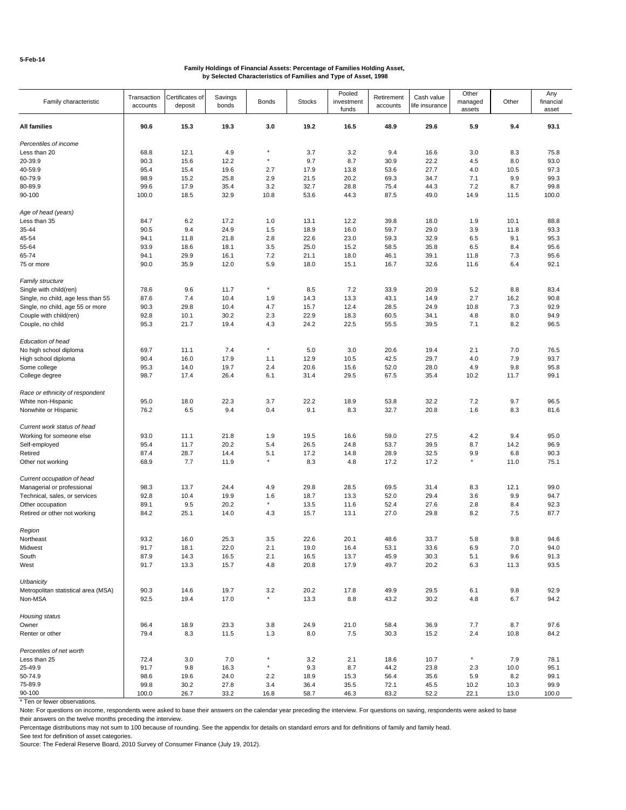| Family characteristic                             | Transaction<br>accounts | Certificates of<br>deposit | Savings<br>bonds | <b>Bonds</b>         | <b>Stocks</b> | Pooled<br>investment<br>funds | Retirement<br>accounts | Cash value<br>life insurance | Other<br>managed<br>assets | Other       | Any<br>financial<br>asset |
|---------------------------------------------------|-------------------------|----------------------------|------------------|----------------------|---------------|-------------------------------|------------------------|------------------------------|----------------------------|-------------|---------------------------|
| All families                                      | 90.6                    | 15.3                       | 19.3             | 3.0                  | 19.2          | 16.5                          | 48.9                   | 29.6                         | 5.9                        | 9.4         | 93.1                      |
| Percentiles of income                             |                         |                            |                  |                      |               |                               |                        |                              |                            |             |                           |
| Less than 20                                      | 68.8                    | 12.1                       | 4.9              | $\star$              | 3.7           | 3.2                           | 9.4                    | 16.6                         | 3.0                        | 8.3         | 75.8                      |
| 20-39.9                                           | 90.3                    | 15.6                       | 12.2             | $^\star$             | 9.7           | 8.7                           | 30.9                   | 22.2                         | 4.5                        | 8.0         | 93.0                      |
| 40-59.9                                           | 95.4                    | 15.4                       | 19.6             | 2.7                  | 17.9          | 13.8                          | 53.6                   | 27.7                         | 4.0                        | 10.5        | 97.3                      |
| 60-79.9                                           | 98.9                    | 15.2                       | 25.8             | 2.9                  | 21.5          | 20.2                          | 69.3                   | 34.7                         | 7.1                        | 9.9         | 99.3                      |
| 80-89.9                                           | 99.6                    | 17.9                       | 35.4             | 3.2                  | 32.7          | 28.8                          | 75.4                   | 44.3                         | 7.2                        | 8.7         | 99.8                      |
| 90-100                                            | 100.0                   | 18.5                       | 32.9             | 10.8                 | 53.6          | 44.3                          | 87.5                   | 49.0                         | 14.9                       | 11.5        | 100.0                     |
| Age of head (years)                               |                         |                            |                  |                      |               |                               |                        |                              |                            |             |                           |
| Less than 35                                      | 84.7                    | 6.2                        | 17.2             | 1.0                  | 13.1          | 12.2                          | 39.8                   | 18.0                         | 1.9                        | 10.1        | 88.8                      |
| 35-44                                             | 90.5                    | 9.4                        | 24.9             | 1.5                  | 18.9          | 16.0                          | 59.7                   | 29.0                         | 3.9                        | 11.8        | 93.3                      |
| 45-54                                             | 94.1                    | 11.8                       | 21.8             | 2.8                  | 22.6          | 23.0                          | 59.3                   | 32.9                         | 6.5                        | 9.1         | 95.3                      |
|                                                   |                         |                            |                  |                      |               |                               |                        |                              |                            |             |                           |
| 55-64                                             | 93.9                    | 18.6                       | 18.1             | 3.5                  | 25.0          | 15.2                          | 58.5                   | 35.8                         | 6.5                        | 8.4         | 95.6                      |
| 65-74                                             | 94.1                    | 29.9                       | 16.1             | 7.2                  | 21.1          | 18.0                          | 46.1                   | 39.1                         | 11.8                       | 7.3         | 95.6                      |
| 75 or more                                        | 90.0                    | 35.9                       | 12.0             | 5.9                  | 18.0          | 15.1                          | 16.7                   | 32.6                         | 11.6                       | 6.4         | 92.1                      |
| Family structure                                  |                         |                            |                  |                      |               |                               |                        |                              |                            |             |                           |
| Single with child(ren)                            | 78.6                    | 9.6                        | 11.7             | $^\star$             | 8.5           | 7.2                           | 33.9                   | 20.9                         | 5.2                        | 8.8         | 83.4                      |
| Single, no child, age less than 55                | 87.6                    | 7.4                        | 10.4             | 1.9                  | 14.3          | 13.3                          | 43.1                   | 14.9                         | 2.7                        | 16.2        | 90.8                      |
| Single, no child, age 55 or more                  | 90.3                    | 29.8                       | 10.4             | 4.7                  | 15.7          | 12.4                          | 28.5                   | 24.9                         | 10.8                       | 7.3         | 92.9                      |
| Couple with child(ren)                            | 92.8                    | 10.1                       | 30.2             | 2.3                  | 22.9          | 18.3                          | 60.5                   | 34.1                         | 4.8                        | 8.0         | 94.9                      |
| Couple, no child                                  | 95.3                    | 21.7                       | 19.4             | 4.3                  | 24.2          | 22.5                          | 55.5                   | 39.5                         | 7.1                        | 8.2         | 96.5                      |
| Education of head                                 |                         |                            |                  |                      |               |                               |                        |                              |                            |             |                           |
| No high school diploma                            | 69.7                    | 11.1                       | 7.4              | $^\star$             | 5.0           | 3.0                           | 20.6                   | 19.4                         | 2.1                        | 7.0         | 76.5                      |
| High school diploma                               | 90.4                    | 16.0                       | 17.9             | 1.1                  | 12.9          | 10.5                          | 42.5                   | 29.7                         | 4.0                        | 7.9         | 93.7                      |
| Some college                                      | 95.3                    | 14.0                       | 19.7             | 2.4                  | 20.6          | 15.6                          | 52.0                   | 28.0                         | 4.9                        | 9.8         | 95.8                      |
| College degree                                    | 98.7                    | 17.4                       | 26.4             | 6.1                  | 31.4          | 29.5                          | 67.5                   | 35.4                         | 10.2                       | 11.7        | 99.1                      |
| Race or ethnicity of respondent                   |                         |                            |                  |                      |               |                               |                        |                              |                            |             |                           |
| White non-Hispanic                                | 95.0                    | 18.0                       | 22.3             | 3.7                  | 22.2          | 18.9                          | 53.8                   | 32.2                         | 7.2                        | 9.7         | 96.5                      |
| Nonwhite or Hispanic                              | 76.2                    | 6.5                        | 9.4              | 0.4                  | 9.1           | 8.3                           | 32.7                   | 20.8                         | 1.6                        | 8.3         | 81.6                      |
| Current work status of head                       |                         |                            |                  |                      |               |                               |                        |                              |                            |             |                           |
| Working for someone else                          | 93.0                    | 11.1                       | 21.8             | 1.9                  | 19.5          | 16.6                          | 59.0                   | 27.5                         | 4.2                        | 9.4         | 95.0                      |
|                                                   |                         |                            |                  |                      |               |                               |                        |                              |                            |             | 96.9                      |
| Self-employed                                     | 95.4                    | 11.7                       | 20.2             | 5.4                  | 26.5          | 24.8                          | 53.7                   | 39.5                         | 8.7                        | 14.2        |                           |
| Retired                                           | 87.4                    | 28.7                       | 14.4             | 5.1<br>$\star$       | 17.2          | 14.8                          | 28.9                   | 32.5                         | 9.9                        | 6.8         | 90.3                      |
| Other not working                                 | 68.9                    | 7.7                        | 11.9             |                      | 8.3           | 4.8                           | 17.2                   | 17.2                         | $^{\star}$                 | 11.0        | 75.1                      |
| Current occupation of head                        |                         |                            |                  |                      |               |                               |                        |                              |                            |             |                           |
| Managerial or professional                        | 98.3                    | 13.7                       | 24.4             | 4.9                  | 29.8          | 28.5                          | 69.5                   | 31.4                         | 8.3                        | 12.1        | 99.0                      |
| Technical, sales, or services                     | 92.8                    | 10.4                       | 19.9             | 1.6                  | 18.7          | 13.3                          | 52.0                   | 29.4                         | 3.6                        | 9.9         | 94.7                      |
| Other occupation                                  | 89.1                    | 9.5                        | 20.2             | $\star$              | 13.5          | 11.6                          | 52.4                   | 27.6                         | 2.8                        | 8.4         | 92.3                      |
| Retired or other not working                      | 84.2                    | 25.1                       | 14.0             | 4.3                  | 15.7          | 13.1                          | 27.0                   | 29.8                         | 8.2                        | 7.5         | 87.7                      |
| Region                                            |                         |                            |                  |                      |               |                               |                        |                              |                            |             |                           |
| Northeast                                         | 93.2                    | 16.0                       | 25.3             | 3.5                  | 22.6          | 20.1                          | 48.6                   | 33.7                         | 5.8                        | 9.8         | 94.6                      |
|                                                   |                         |                            |                  |                      |               |                               |                        |                              |                            |             |                           |
| Midwest                                           | 91.7                    | 18.1                       | 22.0             | 2.1                  | 19.0          | 16.4                          | 53.1                   | 33.6                         | 6.9                        | 7.0         | 94.0                      |
| South<br>West                                     | 87.9<br>91.7            | 14.3<br>13.3               | 16.5<br>15.7     | 2.1<br>4.8           | 16.5<br>20.8  | 13.7<br>17.9                  | 45.9<br>49.7           | 30.3<br>20.2                 | 5.1<br>6.3                 | 9.6<br>11.3 | 91.3<br>93.5              |
|                                                   |                         |                            |                  |                      |               |                               |                        |                              |                            |             |                           |
| Urbanicity<br>Metropolitan statistical area (MSA) | 90.3                    | 14.6                       | 19.7             | 3.2                  | 20.2          | 17.8                          | 49.9                   | 29.5                         | 6.1                        | 9.8         | 92.9                      |
| Non-MSA                                           | 92.5                    | 19.4                       | 17.0             |                      | 13.3          | 8.8                           | 43.2                   | 30.2                         | 4.8                        | 6.7         | 94.2                      |
| Housing status                                    |                         |                            |                  |                      |               |                               |                        |                              |                            |             |                           |
| Owner                                             | 96.4                    | 18.9                       | 23.3             | 3.8                  | 24.9          | 21.0                          | 58.4                   | 36.9                         | 7.7                        | 8.7         | 97.6                      |
| Renter or other                                   | 79.4                    | 8.3                        | 11.5             | 1.3                  | 8.0           | 7.5                           | 30.3                   | 15.2                         | 2.4                        | 10.8        | 84.2                      |
|                                                   |                         |                            |                  |                      |               |                               |                        |                              |                            |             |                           |
| Percentiles of net worth                          |                         |                            |                  |                      |               |                               |                        |                              |                            |             |                           |
| Less than 25                                      | 72.4                    | 3.0                        | 7.0              | $^\star$<br>$^\star$ | 3.2           | 2.1                           | 18.6                   | 10.7                         | $^\star$                   | 7.9         | 78.1                      |
| 25-49.9                                           | 91.7                    | 9.8                        | 16.3             |                      | 9.3           | 8.7                           | 44.2                   | 23.8                         | 2.3                        | 10.0        | 95.1                      |
| 50-74.9                                           | 98.6                    | 19.6                       | 24.0             | 2.2                  | 18.9          | 15.3                          | 56.4                   | 35.6                         | 5.9                        | 8.2         | 99.1                      |
| 75-89.9                                           | 99.8                    | 30.2                       | 27.8             | 3.4                  | 36.4          | 35.5                          | 72.1                   | 45.5                         | 10.2                       | 10.3        | 99.9                      |
| 90-100                                            | 100.0                   | 26.7                       | 33.2             | 16.8                 | 58.7          | 46.3                          | 83.2                   | 52.2                         | 22.1                       | 13.0        | 100.0                     |

\* Ten or fewer observations.

Note: For questions on income, respondents were asked to base their answers on the calendar year preceding the interview. For questions on saving, respondents were asked to base their answers on the twelve months preceding the interview.

Percentage distributions may not sum to 100 because of rounding. See the appendix for details on standard errors and for definitions of family and family head.

See text for definition of asset categories.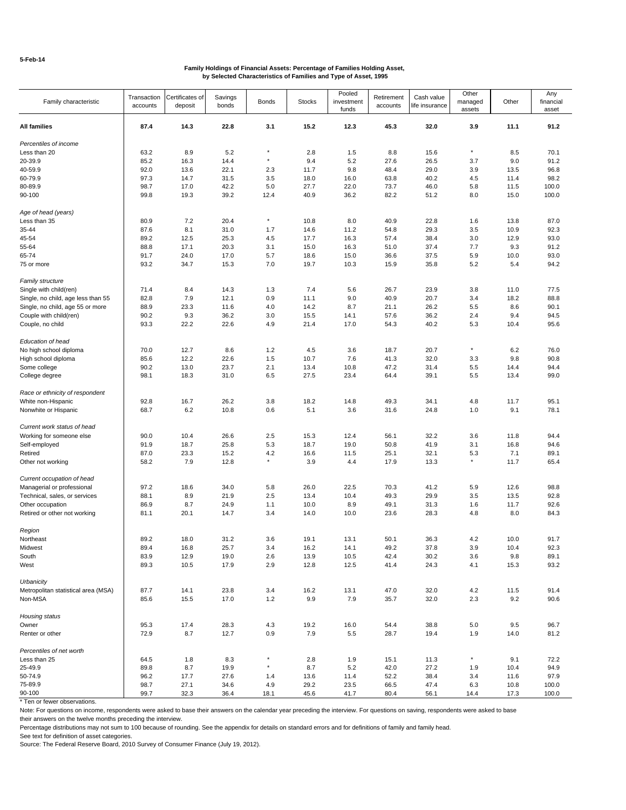| Family characteristic                                        | Transaction<br>accounts | Certificates of<br>deposit | Savings<br>bonds | <b>Bonds</b> | <b>Stocks</b> | Pooled<br>investment | Retirement<br>accounts | Cash value<br>life insurance | Other<br>managed | Other       | Any<br>financial |
|--------------------------------------------------------------|-------------------------|----------------------------|------------------|--------------|---------------|----------------------|------------------------|------------------------------|------------------|-------------|------------------|
|                                                              |                         |                            |                  |              |               | funds                |                        |                              | assets           |             | asset            |
| All families                                                 | 87.4                    | 14.3                       | 22.8             | 3.1          | 15.2          | 12.3                 | 45.3                   | 32.0                         | 3.9              | 11.1        | 91.2             |
| Percentiles of income                                        |                         |                            |                  |              |               |                      |                        |                              |                  |             |                  |
| Less than 20                                                 | 63.2                    | 8.9                        | 5.2              | $\star$      | 2.8           | 1.5                  | 8.8                    | 15.6                         | $^\star$         | 8.5         | 70.1             |
| 20-39.9                                                      | 85.2                    | 16.3                       | 14.4             | $\star$      | 9.4           | 5.2                  | 27.6                   | 26.5                         | 3.7              | 9.0         | 91.2             |
| 40-59.9                                                      | 92.0                    | 13.6                       | 22.1             | 2.3          | 11.7          | 9.8                  | 48.4                   | 29.0                         | 3.9              | 13.5        | 96.8             |
| 60-79.9                                                      | 97.3                    | 14.7                       | 31.5             | 3.5          | 18.0          | 16.0                 | 63.8                   | 40.2                         | 4.5              | 11.4        | 98.2             |
| 80-89.9                                                      | 98.7                    | 17.0                       | 42.2             | 5.0          | 27.7          | 22.0                 | 73.7                   | 46.0                         | 5.8              | 11.5        | 100.0            |
| 90-100                                                       | 99.8                    | 19.3                       | 39.2             | 12.4         | 40.9          | 36.2                 | 82.2                   | 51.2                         | 8.0              | 15.0        | 100.0            |
| Age of head (years)                                          |                         |                            |                  |              |               |                      |                        |                              |                  |             |                  |
| Less than 35                                                 | 80.9                    | 7.2                        | 20.4             | $^\star$     | 10.8          | 8.0                  | 40.9                   | 22.8                         | 1.6              | 13.8        | 87.0             |
| 35-44                                                        | 87.6                    | 8.1                        | 31.0             | 1.7          | 14.6          | 11.2                 | 54.8                   | 29.3                         | 3.5              | 10.9        | 92.3             |
| 45-54                                                        | 89.2                    | 12.5                       | 25.3             | 4.5          | 17.7          | 16.3                 | 57.4                   | 38.4                         | 3.0              | 12.9        | 93.0             |
| 55-64                                                        | 88.8                    | 17.1                       | 20.3             | 3.1          | 15.0          | 16.3                 | 51.0                   | 37.4                         | 7.7              | 9.3         | 91.2             |
| 65-74                                                        | 91.7                    | 24.0                       | 17.0             | 5.7          | 18.6          | 15.0                 | 36.6                   | 37.5                         | 5.9              | 10.0        | 93.0             |
| 75 or more                                                   | 93.2                    | 34.7                       | 15.3             | 7.0          | 19.7          | 10.3                 | 15.9                   | 35.8                         | 5.2              | 5.4         | 94.2             |
|                                                              |                         |                            |                  |              |               |                      |                        |                              |                  |             |                  |
| Family structure                                             |                         | 8.4                        |                  |              | 7.4           |                      |                        | 23.9                         |                  | 11.0        | 77.5             |
| Single with child(ren)<br>Single, no child, age less than 55 | 71.4<br>82.8            |                            | 14.3             | 1.3          |               | 5.6                  | 26.7                   |                              | 3.8              |             |                  |
|                                                              |                         | 7.9                        | 12.1             | 0.9          | 11.1          | 9.0                  | 40.9                   | 20.7                         | 3.4              | 18.2        | 88.8             |
| Single, no child, age 55 or more                             | 88.9                    | 23.3                       | 11.6             | 4.0          | 14.2          | 8.7                  | 21.1                   | 26.2                         | 5.5              | 8.6         | 90.1             |
| Couple with child(ren)                                       | 90.2                    | 9.3                        | 36.2             | 3.0          | 15.5          | 14.1                 | 57.6                   | 36.2                         | 2.4              | 9.4         | 94.5             |
| Couple, no child                                             | 93.3                    | 22.2                       | 22.6             | 4.9          | 21.4          | 17.0                 | 54.3                   | 40.2                         | 5.3              | 10.4        | 95.6             |
| Education of head                                            |                         |                            |                  |              |               |                      |                        |                              |                  |             |                  |
| No high school diploma                                       | 70.0                    | 12.7                       | 8.6              | 1.2          | 4.5           | 3.6                  | 18.7                   | 20.7                         | $^\star$         | 6.2         | 76.0             |
| High school diploma                                          | 85.6                    | 12.2                       | 22.6             | 1.5          | 10.7          | 7.6                  | 41.3                   | 32.0                         | 3.3              | 9.8         | 90.8             |
| Some college                                                 | 90.2                    | 13.0                       | 23.7             | 2.1          | 13.4          | 10.8                 | 47.2                   | 31.4                         | 5.5              | 14.4        | 94.4             |
| College degree                                               | 98.1                    | 18.3                       | 31.0             | 6.5          | 27.5          | 23.4                 | 64.4                   | 39.1                         | 5.5              | 13.4        | 99.0             |
| Race or ethnicity of respondent                              |                         |                            |                  |              |               |                      |                        |                              |                  |             |                  |
| White non-Hispanic                                           | 92.8                    | 16.7                       | 26.2             | 3.8          | 18.2          | 14.8                 | 49.3                   | 34.1                         | 4.8              | 11.7        | 95.1             |
| Nonwhite or Hispanic                                         | 68.7                    | 6.2                        | 10.8             | 0.6          | 5.1           | 3.6                  | 31.6                   | 24.8                         | 1.0              | 9.1         | 78.1             |
|                                                              |                         |                            |                  |              |               |                      |                        |                              |                  |             |                  |
| Current work status of head                                  |                         |                            |                  |              |               |                      |                        |                              |                  |             |                  |
| Working for someone else                                     | 90.0                    | 10.4                       | 26.6             | 2.5          | 15.3          | 12.4                 | 56.1                   | 32.2                         | 3.6              | 11.8        | 94.4             |
| Self-employed                                                | 91.9                    | 18.7                       | 25.8             | 5.3          | 18.7          | 19.0                 | 50.8                   | 41.9                         | 3.1              | 16.8        | 94.6             |
| Retired                                                      | 87.0                    | 23.3                       | 15.2             | 4.2          | 16.6          | 11.5                 | 25.1                   | 32.1                         | 5.3              | 7.1         | 89.1             |
| Other not working                                            | 58.2                    | 7.9                        | 12.8             |              | 3.9           | 4.4                  | 17.9                   | 13.3                         | $^\star$         | 11.7        | 65.4             |
| Current occupation of head                                   |                         |                            |                  |              |               |                      |                        |                              |                  |             |                  |
| Managerial or professional                                   | 97.2                    | 18.6                       | 34.0             | 5.8          | 26.0          | 22.5                 | 70.3                   | 41.2                         | 5.9              | 12.6        | 98.8             |
| Technical, sales, or services                                | 88.1                    | 8.9                        | 21.9             | 2.5          | 13.4          | 10.4                 | 49.3                   | 29.9                         | 3.5              | 13.5        | 92.8             |
| Other occupation                                             | 86.9                    | 8.7                        | 24.9             | 1.1          | 10.0          | 8.9                  | 49.1                   | 31.3                         | 1.6              | 11.7        | 92.6             |
| Retired or other not working                                 | 81.1                    | 20.1                       | 14.7             | 3.4          | 14.0          | 10.0                 | 23.6                   | 28.3                         | 4.8              | 8.0         | 84.3             |
| Region                                                       |                         |                            |                  |              |               |                      |                        |                              |                  |             |                  |
| Northeast                                                    | 89.2                    | 18.0                       | 31.2             | 3.6          | 19.1          | 13.1                 | 50.1                   | 36.3                         | 4.2              | 10.0        | 91.7             |
|                                                              |                         |                            |                  |              |               |                      |                        |                              |                  |             |                  |
| Midwest                                                      | 89.4                    | 16.8                       | 25.7             | 3.4          | 16.2          | 14.1                 | 49.2                   | 37.8                         | $3.9\,$          | 10.4        | 92.3             |
| South<br>West                                                | 83.9<br>89.3            | 12.9<br>10.5               | 19.0<br>17.9     | 2.6<br>2.9   | 13.9<br>12.8  | 10.5<br>12.5         | 42.4<br>41.4           | 30.2<br>24.3                 | 3.6<br>4.1       | 9.8<br>15.3 | 89.1<br>93.2     |
|                                                              |                         |                            |                  |              |               |                      |                        |                              |                  |             |                  |
| Urbanicity<br>Metropolitan statistical area (MSA)            | 87.7                    | 14.1                       | 23.8             | 3.4          | 16.2          | 13.1                 | 47.0                   | 32.0                         | 4.2              | 11.5        | 91.4             |
| Non-MSA                                                      | 85.6                    | 15.5                       | 17.0             | 1.2          | 9.9           | 7.9                  | 35.7                   | 32.0                         | 2.3              | 9.2         | 90.6             |
|                                                              |                         |                            |                  |              |               |                      |                        |                              |                  |             |                  |
| Housing status                                               |                         |                            |                  |              |               |                      |                        |                              |                  |             |                  |
| Owner                                                        | 95.3                    | 17.4                       | 28.3             | 4.3          | 19.2          | 16.0                 | 54.4                   | 38.8                         | 5.0              | 9.5         | 96.7             |
| Renter or other                                              | 72.9                    | 8.7                        | 12.7             | 0.9          | 7.9           | $5.5$                | 28.7                   | 19.4                         | 1.9              | 14.0        | 81.2             |
| Percentiles of net worth                                     |                         |                            |                  |              |               |                      |                        |                              |                  |             |                  |
| Less than 25                                                 | 64.5                    | 1.8                        | 8.3              |              | 2.8           | 1.9                  | 15.1                   | 11.3                         | $^\star$         | 9.1         | 72.2             |
| 25-49.9                                                      | 89.8                    | 8.7                        | 19.9             | $\star$      | 8.7           | 5.2                  | 42.0                   | 27.2                         | 1.9              | 10.4        | 94.9             |
| 50-74.9                                                      | 96.2                    | 17.7                       | 27.6             | 1.4          | 13.6          | 11.4                 | 52.2                   | 38.4                         | 3.4              | 11.6        | 97.9             |
| 75-89.9                                                      | 98.7                    | 27.1                       | 34.6             | 4.9          | 29.2          | 23.5                 | 66.5                   | 47.4                         | 6.3              | 10.8        | 100.0            |
| 90-100                                                       | 99.7                    | 32.3                       | 36.4             | 18.1         | 45.6          | 41.7                 | 80.4                   | 56.1                         | 14.4             | 17.3        | 100.0            |

\* Ten or fewer observations.

Note: For questions on income, respondents were asked to base their answers on the calendar year preceding the interview. For questions on saving, respondents were asked to base their answers on the twelve months preceding the interview.

Percentage distributions may not sum to 100 because of rounding. See the appendix for details on standard errors and for definitions of family and family head.

See text for definition of asset categories.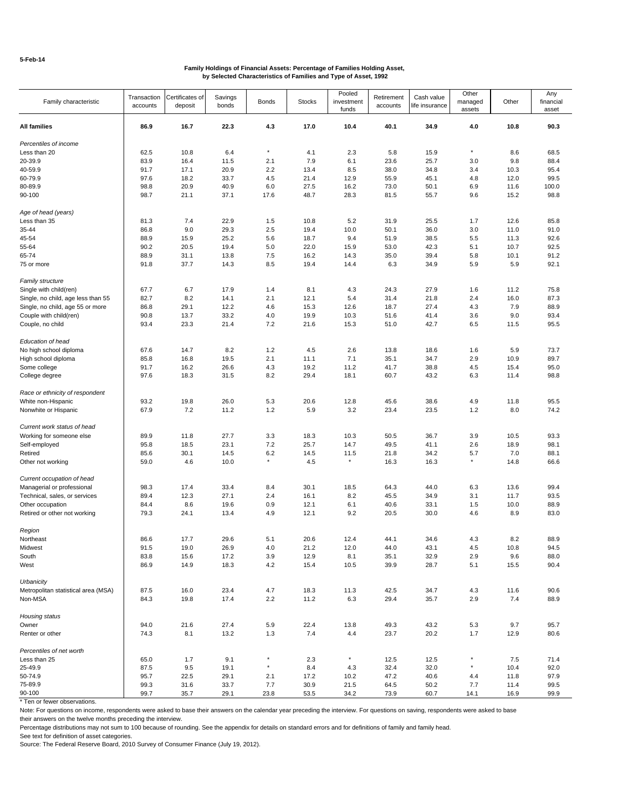| Family characteristic                             | Transaction<br>accounts | Certificates of<br>deposit | Savings<br>bonds | <b>Bonds</b>   | <b>Stocks</b> | Pooled<br>investment<br>funds | Retirement<br>accounts | Cash value<br>life insurance | Other<br>managed<br>assets | Other       | Any<br>financial<br>asset |
|---------------------------------------------------|-------------------------|----------------------------|------------------|----------------|---------------|-------------------------------|------------------------|------------------------------|----------------------------|-------------|---------------------------|
| All families                                      | 86.9                    | 16.7                       | 22.3             | 4.3            | 17.0          | 10.4                          | 40.1                   | 34.9                         | 4.0                        | 10.8        | 90.3                      |
| Percentiles of income                             |                         |                            |                  |                |               |                               |                        |                              |                            |             |                           |
| Less than 20                                      | 62.5                    | 10.8                       | 6.4              | $^\star$       | 4.1           | 2.3                           | 5.8                    | 15.9                         | $^{\star}$                 | 8.6         | 68.5                      |
| 20-39.9                                           | 83.9                    | 16.4                       | 11.5             | 2.1            | 7.9           | 6.1                           | 23.6                   | 25.7                         | 3.0                        | 9.8         | 88.4                      |
| 40-59.9                                           | 91.7                    | 17.1                       | 20.9             | 2.2            | 13.4          | 8.5                           | 38.0                   | 34.8                         | 3.4                        | 10.3        | 95.4                      |
| 60-79.9                                           | 97.6                    | 18.2                       | 33.7             | 4.5            | 21.4          | 12.9                          | 55.9                   | 45.1                         | 4.8                        | 12.0        | 99.5                      |
| 80-89.9                                           | 98.8                    | 20.9                       | 40.9             | 6.0            | 27.5          | 16.2                          | 73.0                   | 50.1                         | 6.9                        | 11.6        | 100.0                     |
| 90-100                                            | 98.7                    | 21.1                       | 37.1             | 17.6           | 48.7          | 28.3                          | 81.5                   | 55.7                         | 9.6                        | 15.2        | 98.8                      |
| Age of head (years)                               |                         |                            |                  |                |               |                               |                        |                              |                            |             |                           |
| Less than 35                                      | 81.3                    | 7.4                        | 22.9             | 1.5            | 10.8          | 5.2                           | 31.9                   | 25.5                         | 1.7                        | 12.6        | 85.8                      |
| 35-44                                             | 86.8                    | 9.0                        | 29.3             | 2.5            | 19.4          | 10.0                          | 50.1                   | 36.0                         | 3.0                        | 11.0        | 91.0                      |
| 45-54                                             | 88.9                    | 15.9                       | 25.2             | 5.6            | 18.7          | 9.4                           | 51.9                   | 38.5                         | 5.5                        | 11.3        | 92.6                      |
|                                                   |                         |                            |                  |                |               |                               |                        |                              |                            |             |                           |
| 55-64                                             | 90.2                    | 20.5                       | 19.4             | 5.0            | 22.0          | 15.9                          | 53.0                   | 42.3                         | 5.1                        | 10.7        | 92.5                      |
| 65-74                                             | 88.9                    | 31.1                       | 13.8             | 7.5            | 16.2          | 14.3                          | 35.0                   | 39.4                         | 5.8                        | 10.1        | 91.2                      |
| 75 or more                                        | 91.8                    | 37.7                       | 14.3             | 8.5            | 19.4          | 14.4                          | 6.3                    | 34.9                         | 5.9                        | 5.9         | 92.1                      |
| Family structure                                  |                         |                            |                  |                |               |                               |                        |                              |                            |             |                           |
| Single with child(ren)                            | 67.7                    | 6.7                        | 17.9             | 1.4            | 8.1           | 4.3                           | 24.3                   | 27.9                         | 1.6                        | 11.2        | 75.8                      |
| Single, no child, age less than 55                | 82.7                    | 8.2                        | 14.1             | 2.1            | 12.1          | 5.4                           | 31.4                   | 21.8                         | 2.4                        | 16.0        | 87.3                      |
| Single, no child, age 55 or more                  | 86.8                    | 29.1                       | 12.2             | 4.6            | 15.3          | 12.6                          | 18.7                   | 27.4                         | 4.3                        | 7.9         | 88.9                      |
| Couple with child(ren)                            | 90.8                    | 13.7                       | 33.2             | 4.0            | 19.9          | 10.3                          | 51.6                   | 41.4                         | 3.6                        | 9.0         | 93.4                      |
| Couple, no child                                  | 93.4                    | 23.3                       | 21.4             | 7.2            | 21.6          | 15.3                          | 51.0                   | 42.7                         | 6.5                        | 11.5        | 95.5                      |
| Education of head                                 |                         |                            |                  |                |               |                               |                        |                              |                            |             |                           |
| No high school diploma                            | 67.6                    | 14.7                       | 8.2              | 1.2            | 4.5           | 2.6                           | 13.8                   | 18.6                         | 1.6                        | 5.9         | 73.7                      |
| High school diploma                               | 85.8                    | 16.8                       | 19.5             | 2.1            | 11.1          | 7.1                           | 35.1                   | 34.7                         | 2.9                        | 10.9        | 89.7                      |
| Some college                                      | 91.7                    | 16.2                       | 26.6             | 4.3            | 19.2          | 11.2                          | 41.7                   | 38.8                         | 4.5                        | 15.4        | 95.0                      |
| College degree                                    | 97.6                    | 18.3                       | 31.5             | 8.2            | 29.4          | 18.1                          | 60.7                   | 43.2                         | 6.3                        | 11.4        | 98.8                      |
| Race or ethnicity of respondent                   |                         |                            |                  |                |               |                               |                        |                              |                            |             |                           |
| White non-Hispanic                                | 93.2                    | 19.8                       | 26.0             | 5.3            | 20.6          | 12.8                          | 45.6                   | 38.6                         | 4.9                        | 11.8        | 95.5                      |
| Nonwhite or Hispanic                              | 67.9                    | 7.2                        | 11.2             | 1.2            | 5.9           | 3.2                           | 23.4                   | 23.5                         | 1.2                        | 8.0         | 74.2                      |
| Current work status of head                       |                         |                            |                  |                |               |                               |                        |                              |                            |             |                           |
| Working for someone else                          | 89.9                    | 11.8                       | 27.7             | 3.3            | 18.3          | 10.3                          | 50.5                   | 36.7                         | 3.9                        | 10.5        | 93.3                      |
|                                                   | 95.8                    | 18.5                       | 23.1             | $7.2\,$        | 25.7          | 14.7                          | 49.5                   | 41.1                         | 2.6                        | 18.9        | 98.1                      |
| Self-employed                                     |                         |                            |                  |                |               |                               |                        |                              |                            |             |                           |
| Retired                                           | 85.6                    | 30.1                       | 14.5             | 6.2<br>$\star$ | 14.5          | 11.5<br>$\star$               | 21.8                   | 34.2                         | 5.7<br>$^\star$            | 7.0         | 88.1                      |
| Other not working                                 | 59.0                    | 4.6                        | 10.0             |                | 4.5           |                               | 16.3                   | 16.3                         |                            | 14.8        | 66.6                      |
| Current occupation of head                        |                         |                            |                  |                |               |                               |                        |                              |                            |             |                           |
| Managerial or professional                        | 98.3                    | 17.4                       | 33.4             | 8.4            | 30.1          | 18.5                          | 64.3                   | 44.0                         | 6.3                        | 13.6        | 99.4                      |
| Technical, sales, or services                     | 89.4                    | 12.3                       | 27.1             | 2.4            | 16.1          | 8.2                           | 45.5                   | 34.9                         | 3.1                        | 11.7        | 93.5                      |
| Other occupation                                  | 84.4                    | 8.6                        | 19.6             | 0.9            | 12.1          | 6.1                           | 40.6                   | 33.1                         | 1.5                        | 10.0        | 88.9                      |
| Retired or other not working                      | 79.3                    | 24.1                       | 13.4             | 4.9            | 12.1          | 9.2                           | 20.5                   | 30.0                         | 4.6                        | 8.9         | 83.0                      |
| Region                                            |                         |                            |                  |                |               |                               |                        |                              |                            |             |                           |
| Northeast                                         | 86.6                    | 17.7                       | 29.6             | 5.1            | 20.6          | 12.4                          | 44.1                   | 34.6                         | 4.3                        | 8.2         | 88.9                      |
|                                                   |                         |                            |                  |                |               |                               |                        |                              |                            |             |                           |
| Midwest                                           | 91.5                    | 19.0                       | 26.9             | 4.0            | 21.2          | 12.0                          | 44.0                   | 43.1                         | 4.5                        | 10.8        | 94.5                      |
| South<br>West                                     | 83.8<br>86.9            | 15.6<br>14.9               | 17.2<br>18.3     | 3.9<br>4.2     | 12.9<br>15.4  | 8.1<br>10.5                   | 35.1<br>39.9           | 32.9<br>28.7                 | 2.9<br>5.1                 | 9.6<br>15.5 | 88.0<br>90.4              |
|                                                   |                         |                            |                  |                |               |                               |                        |                              |                            |             |                           |
| Urbanicity<br>Metropolitan statistical area (MSA) | 87.5                    | 16.0                       | 23.4             | 4.7            | 18.3          | 11.3                          | 42.5                   | 34.7                         | 4.3                        | 11.6        | 90.6                      |
| Non-MSA                                           | 84.3                    | 19.8                       | 17.4             | $2.2\,$        | 11.2          | 6.3                           | 29.4                   | 35.7                         | 2.9                        | 7.4         | 88.9                      |
| Housing status                                    |                         |                            |                  |                |               |                               |                        |                              |                            |             |                           |
| Owner                                             | 94.0                    | 21.6                       | 27.4             | 5.9            | 22.4          | 13.8                          | 49.3                   | 43.2                         | 5.3                        | 9.7         | 95.7                      |
| Renter or other                                   | 74.3                    | 8.1                        | 13.2             | 1.3            | 7.4           | 4.4                           | 23.7                   | 20.2                         | 1.7                        | 12.9        | 80.6                      |
| Percentiles of net worth                          |                         |                            |                  |                |               |                               |                        |                              |                            |             |                           |
|                                                   |                         |                            |                  |                |               |                               |                        |                              | $^\star$                   |             |                           |
| Less than 25                                      | 65.0                    | 1.7                        | 9.1              | $^\star$       | 2.3           | $^\star$                      | 12.5                   | 12.5                         | $^\star$                   | 7.5         | 71.4                      |
| 25-49.9                                           | 87.5                    | 9.5                        | 19.1             |                | 8.4           | 4.3                           | 32.4                   | 32.0                         |                            | 10.4        | 92.0                      |
| 50-74.9                                           | 95.7                    | 22.5                       | 29.1             | 2.1            | 17.2          | 10.2                          | 47.2                   | 40.6                         | 4.4                        | 11.8        | 97.9                      |
| 75-89.9                                           | 99.3                    | 31.6                       | 33.7             | 7.7            | 30.9          | 21.5                          | 64.5                   | 50.2                         | 7.7                        | 11.4        | 99.5                      |
| 90-100                                            | 99.7                    | 35.7                       | 29.1             | 23.8           | 53.5          | 34.2                          | 73.9                   | 60.7                         | 14.1                       | 16.9        | 99.9                      |

\* Ten or fewer observations.

Note: For questions on income, respondents were asked to base their answers on the calendar year preceding the interview. For questions on saving, respondents were asked to base their answers on the twelve months preceding the interview.

Percentage distributions may not sum to 100 because of rounding. See the appendix for details on standard errors and for definitions of family and family head.

See text for definition of asset categories.